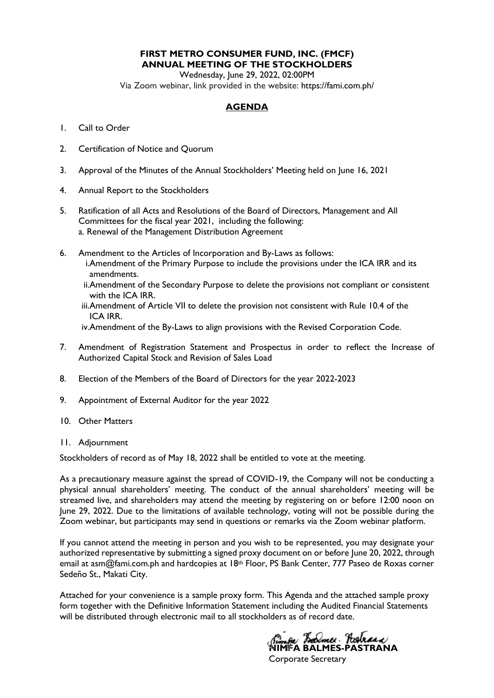# **FIRST METRO CONSUMER FUND, INC. (FMCF) ANNUAL MEETING OF THE STOCKHOLDERS**

Wednesday, June 29, 2022, 02:00PM Via Zoom webinar, link provided in the website: https://fami.com.ph/

# **AGENDA**

- 1. Call to Order
- 2. Certification of Notice and Quorum
- 3. Approval of the Minutes of the Annual Stockholders' Meeting held on June 16, 2021
- 4. Annual Report to the Stockholders
- 5. Ratification of all Acts and Resolutions of the Board of Directors, Management and All Committees for the fiscal year 2021, including the following: a. Renewal of the Management Distribution Agreement
- 6. Amendment to the Articles of Incorporation and By-Laws as follows: i.Amendment of the Primary Purpose to include the provisions under the ICA IRR and its amendments.
	- ii.Amendment of the Secondary Purpose to delete the provisions not compliant or consistent with the ICA IRR.
	- iii.Amendment of Article VII to delete the provision not consistent with Rule 10.4 of the ICA IRR.
	- iv.Amendment of the By-Laws to align provisions with the Revised Corporation Code.
- 7. Amendment of Registration Statement and Prospectus in order to reflect the Increase of Authorized Capital Stock and Revision of Sales Load
- 8. Election of the Members of the Board of Directors for the year 2022-2023
- 9. Appointment of External Auditor for the year 2022
- 10. Other Matters
- 11. Adjournment

Stockholders of record as of May 18, 2022 shall be entitled to vote at the meeting.

As a precautionary measure against the spread of COVID-19, the Company will not be conducting a physical annual shareholders' meeting. The conduct of the annual shareholders' meeting will be streamed live, and shareholders may attend the meeting by registering on or before 12:00 noon on June 29, 2022. Due to the limitations of available technology, voting will not be possible during the Zoom webinar, but participants may send in questions or remarks via the Zoom webinar platform.

If you cannot attend the meeting in person and you wish to be represented, you may designate your authorized representative by submitting a signed proxy document on or before June 20, 2022, through email at asm@fami.com.ph and hardcopies at 18<sup>th</sup> Floor, PS Bank Center, 777 Paseo de Roxas corner Sedeño St., Makati City.

Attached for your convenience is a sample proxy form. This Agenda and the attached sample proxy form together with the Definitive Information Statement including the Audited Financial Statements will be distributed through electronic mail to all stockholders as of record date.

*Rimfa Balmer* Pastraca<br>NIMFA BALMES-PASTRANA

Corporate Secretary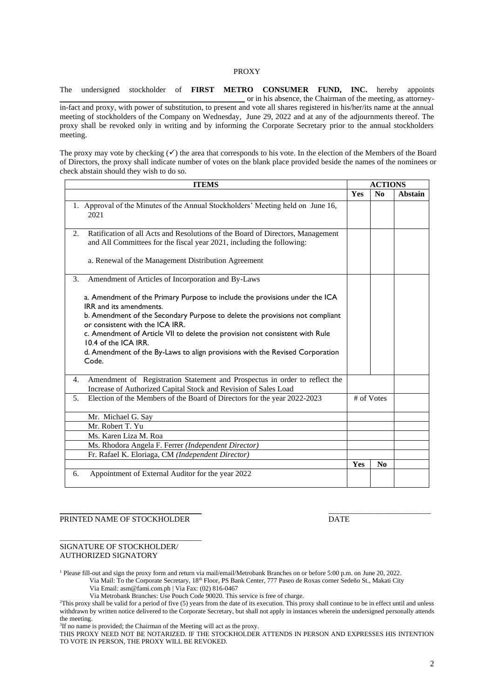#### PROXY

The undersigned stockholder of **FIRST METRO CONSUMER FUND, INC.** hereby appoints \_\_\_\_\_\_\_\_\_\_\_\_\_\_\_\_\_\_\_\_\_\_\_\_\_\_\_\_\_\_\_\_\_\_\_\_\_\_\_\_\_\_\_\_\_\_\_ or in his absence, the Chairman of the meeting, as attorneyin-fact and proxy, with power of substitution, to present and vote all shares registered in his/her/its name at the annual meeting of stockholders of the Company on Wednesday, June 29, 2022 and at any of the adjournments thereof. The proxy shall be revoked only in writing and by informing the Corporate Secretary prior to the annual stockholders meeting.

The proxy may vote by checking  $(\checkmark)$  the area that corresponds to his vote. In the election of the Members of the Board of Directors, the proxy shall indicate number of votes on the blank place provided beside the names of the nominees or check abstain should they wish to do so.

| <b>ITEMS</b> |                                                                                                                                                         |     |                | <b>ACTIONS</b> |  |  |  |
|--------------|---------------------------------------------------------------------------------------------------------------------------------------------------------|-----|----------------|----------------|--|--|--|
|              |                                                                                                                                                         | Yes | N <sub>0</sub> | Abstain        |  |  |  |
|              | 1. Approval of the Minutes of the Annual Stockholders' Meeting held on June 16,<br>2021                                                                 |     |                |                |  |  |  |
| 2.           | Ratification of all Acts and Resolutions of the Board of Directors, Management<br>and All Committees for the fiscal year 2021, including the following: |     |                |                |  |  |  |
|              | a. Renewal of the Management Distribution Agreement                                                                                                     |     |                |                |  |  |  |
| 3.           | Amendment of Articles of Incorporation and By-Laws                                                                                                      |     |                |                |  |  |  |
|              | a. Amendment of the Primary Purpose to include the provisions under the ICA<br>IRR and its amendments.                                                  |     |                |                |  |  |  |
|              | b. Amendment of the Secondary Purpose to delete the provisions not compliant<br>or consistent with the ICA IRR.                                         |     |                |                |  |  |  |
|              | c. Amendment of Article VII to delete the provision not consistent with Rule<br>10.4 of the ICA IRR.                                                    |     |                |                |  |  |  |
|              | d. Amendment of the By-Laws to align provisions with the Revised Corporation<br>Code.                                                                   |     |                |                |  |  |  |
| 4.           | Amendment of Registration Statement and Prospectus in order to reflect the<br>Increase of Authorized Capital Stock and Revision of Sales Load           |     |                |                |  |  |  |
| 5.           | Election of the Members of the Board of Directors for the year 2022-2023                                                                                |     | # of Votes     |                |  |  |  |
|              | Mr. Michael G. Say                                                                                                                                      |     |                |                |  |  |  |
|              | Mr. Robert T. Yu                                                                                                                                        |     |                |                |  |  |  |
|              | Ms. Karen Liza M. Roa                                                                                                                                   |     |                |                |  |  |  |
|              | Ms. Rhodora Angela F. Ferrer (Independent Director)                                                                                                     |     |                |                |  |  |  |
|              | Fr. Rafael K. Eloriaga, CM (Independent Director)                                                                                                       |     |                |                |  |  |  |
|              |                                                                                                                                                         | Yes | No             |                |  |  |  |
| 6.           | Appointment of External Auditor for the year 2022                                                                                                       |     |                |                |  |  |  |

#### PRINTED NAME OF STOCKHOLDER DATE

\_\_\_\_\_\_\_\_\_\_\_\_\_\_\_\_\_\_\_\_\_\_\_\_\_\_\_\_\_\_\_\_\_\_\_\_

#### SIGNATURE OF STOCKHOLDER/ AUTHORIZED SIGNATORY

<sup>1</sup> Please fill-out and sign the proxy form and return via mail/email/Metrobank Branches on or before 5:00 p.m. on June 20, 2022. Via Mail: To the Corporate Secretary, 18<sup>th</sup> Floor, PS Bank Center, 777 Paseo de Roxas corner Sedeño St., Makati City

Via Email: asm@fami.com.ph | Via Fax: (02) 816-0467

- 
- Via Metrobank Branches: Use Pouch Code 90020. This service is free of charge.

<sup>2</sup>This proxy shall be valid for a period of five (5) years from the date of its execution. This proxy shall continue to be in effect until and unless withdrawn by written notice delivered to the Corporate Secretary, but shall not apply in instances wherein the undersigned personally attends the meeting.

\_\_\_\_\_\_\_\_\_\_\_\_\_\_\_\_\_\_\_\_\_\_\_\_\_\_\_\_\_\_\_\_\_\_\_\_ \_\_\_\_\_\_\_\_\_\_\_\_\_\_\_\_\_\_\_\_\_\_\_\_\_\_

<sup>3</sup>If no name is provided; the Chairman of the Meeting will act as the proxy.

THIS PROXY NEED NOT BE NOTARIZED. IF THE STOCKHOLDER ATTENDS IN PERSON AND EXPRESSES HIS INTENTION TO VOTE IN PERSON, THE PROXY WILL BE REVOKED.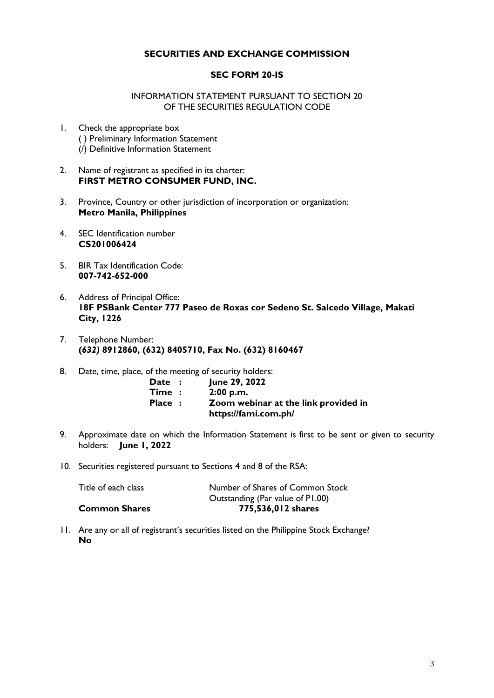# **SECURITIES AND EXCHANGE COMMISSION**

### **SEC FORM 20-IS**

#### INFORMATION STATEMENT PURSUANT TO SECTION 20 OF THE SECURITIES REGULATION CODE

- 1. Check the appropriate box ( ) Preliminary Information Statement (/) Definitive Information Statement
- 2. Name of registrant as specified in its charter: **FIRST METRO CONSUMER FUND, INC.**
- 3. Province, Country or other jurisdiction of incorporation or organization: **Metro Manila, Philippines**
- 4. SEC Identification number **CS201006424**
- 5. BIR Tax Identification Code: **007-742-652-000**
- 6. Address of Principal Office: **18F PSBank Center 777 Paseo de Roxas cor Sedeno St. Salcedo Village, Makati City, 1226**
- 7. Telephone Number: **(***632)* **8912860, (632) 8405710, Fax No. (632) 8160467**
- 8. Date, time, place, of the meeting of security holders:

| Date:   | June 29, 2022                        |
|---------|--------------------------------------|
| Time:   | 2:00 p.m.                            |
| Place : | Zoom webinar at the link provided in |
|         | https://fami.com.ph/                 |

- 9. Approximate date on which the Information Statement is first to be sent or given to security holders: **June 1, 2022**
- 10. Securities registered pursuant to Sections 4 and 8 of the RSA:

| <b>Common Shares</b> | 775,536,012 shares               |
|----------------------|----------------------------------|
|                      | Outstanding (Par value of P1.00) |
| Title of each class  | Number of Shares of Common Stock |

11. Are any or all of registrant's securities listed on the Philippine Stock Exchange? **No**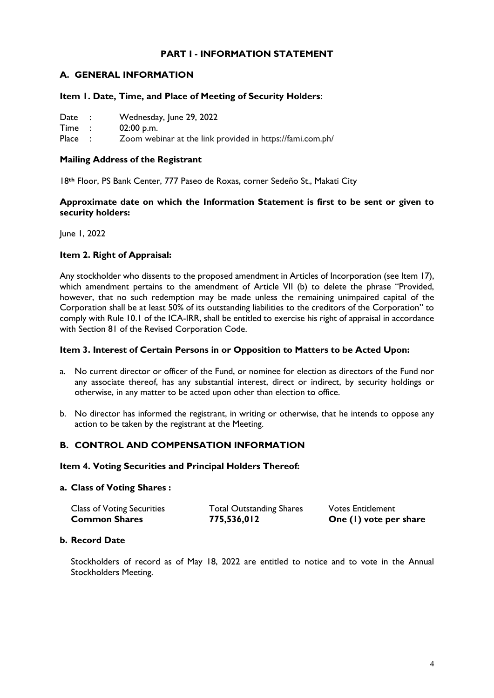# **PART I - INFORMATION STATEMENT**

# **A. GENERAL INFORMATION**

### **Item 1. Date, Time, and Place of Meeting of Security Holders**:

| Date | Wednesday, June 29, 2022 |
|------|--------------------------|
| Time | $02:00$ p.m.             |

Place : Zoom webinar at the link provided in https://fami.com.ph/

#### **Mailing Address of the Registrant**

18**th** Floor, PS Bank Center, 777 Paseo de Roxas, corner Sedeño St., Makati City

### **Approximate date on which the Information Statement is first to be sent or given to security holders:**

June 1, 2022

# **Item 2. Right of Appraisal:**

Any stockholder who dissents to the proposed amendment in Articles of Incorporation (see Item 17), which amendment pertains to the amendment of Article VII (b) to delete the phrase "Provided, however, that no such redemption may be made unless the remaining unimpaired capital of the Corporation shall be at least 50% of its outstanding liabilities to the creditors of the Corporation" to comply with Rule 10.1 of the ICA-IRR, shall be entitled to exercise his right of appraisal in accordance with Section 81 of the Revised Corporation Code.

#### **Item 3. Interest of Certain Persons in or Opposition to Matters to be Acted Upon:**

- a. No current director or officer of the Fund, or nominee for election as directors of the Fund nor any associate thereof, has any substantial interest, direct or indirect, by security holdings or otherwise, in any matter to be acted upon other than election to office.
- b. No director has informed the registrant, in writing or otherwise, that he intends to oppose any action to be taken by the registrant at the Meeting.

# **B. CONTROL AND COMPENSATION INFORMATION**

#### **Item 4. Voting Securities and Principal Holders Thereof:**

#### **a. Class of Voting Shares :**

| <b>Class of Voting Securities</b> | <b>Total Outstanding Shares</b> | <b>Votes Entitlement</b> |
|-----------------------------------|---------------------------------|--------------------------|
| <b>Common Shares</b>              | 775,536,012                     | One (1) vote per share   |

### **b. Record Date**

Stockholders of record as of May 18, 2022 are entitled to notice and to vote in the Annual Stockholders Meeting.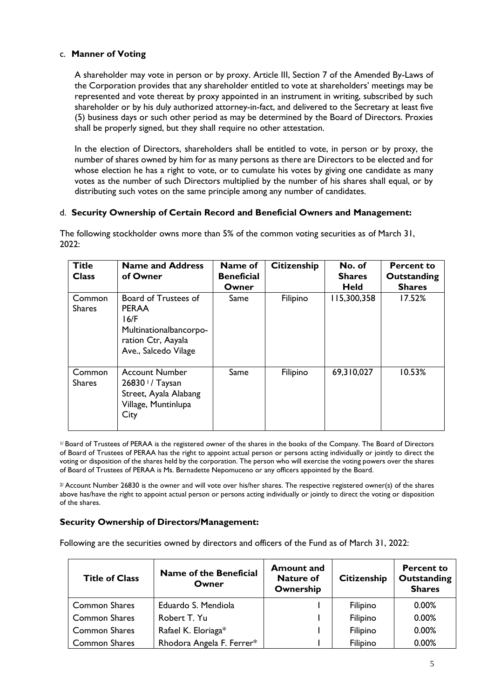# c. **Manner of Voting**

A shareholder may vote in person or by proxy. Article III, Section 7 of the Amended By-Laws of the Corporation provides that any shareholder entitled to vote at shareholders' meetings may be represented and vote thereat by proxy appointed in an instrument in writing, subscribed by such shareholder or by his duly authorized attorney-in-fact, and delivered to the Secretary at least five (5) business days or such other period as may be determined by the Board of Directors. Proxies shall be properly signed, but they shall require no other attestation.

In the election of Directors, shareholders shall be entitled to vote, in person or by proxy, the number of shares owned by him for as many persons as there are Directors to be elected and for whose election he has a right to vote, or to cumulate his votes by giving one candidate as many votes as the number of such Directors multiplied by the number of his shares shall equal, or by distributing such votes on the same principle among any number of candidates.

# d. **Security Ownership of Certain Record and Beneficial Owners and Management:**

The following stockholder owns more than 5% of the common voting securities as of March 31,  $2022:$ 

| <b>Title</b><br><b>Class</b> | <b>Name and Address</b><br>of Owner                                                                                  | Name of<br><b>Beneficial</b><br>Owner | <b>Citizenship</b> | No. of<br><b>Shares</b><br><b>Held</b> | <b>Percent to</b><br>Outstanding<br><b>Shares</b> |
|------------------------------|----------------------------------------------------------------------------------------------------------------------|---------------------------------------|--------------------|----------------------------------------|---------------------------------------------------|
| Common<br><b>Shares</b>      | Board of Trustees of<br><b>PERAA</b><br>16/F<br>Multinationalbancorpo-<br>ration Ctr, Aayala<br>Ave., Salcedo Vilage | Same                                  | Filipino           | 115,300,358                            | 17.52%                                            |
| Common<br><b>Shares</b>      | <b>Account Number</b><br>$26830$ $\frac{1}{2}$ Taysan<br>Street, Ayala Alabang<br>Village, Muntinlupa<br>City        | Same                                  | Filipino           | 69,310,027                             | 10.53%                                            |

1/ Board of Trustees of PERAA is the registered owner of the shares in the books of the Company. The Board of Directors of Board of Trustees of PERAA has the right to appoint actual person or persons acting individually or jointly to direct the voting or disposition of the shares held by the corporation. The person who will exercise the voting powers over the shares of Board of Trustees of PERAA is Ms. Bernadette Nepomuceno or any officers appointed by the Board.

 $2/$  Account Number 26830 is the owner and will vote over his/her shares. The respective registered owner(s) of the shares above has/have the right to appoint actual person or persons acting individually or jointly to direct the voting or disposition of the shares.

# **Security Ownership of Directors/Management:**

Following are the securities owned by directors and officers of the Fund as of March 31, 2022:

| <b>Title of Class</b> | <b>Name of the Beneficial</b><br>Owner | <b>Amount and</b><br><b>Nature of</b><br>Ownership | <b>Citizenship</b> | <b>Percent to</b><br>Outstanding<br><b>Shares</b> |
|-----------------------|----------------------------------------|----------------------------------------------------|--------------------|---------------------------------------------------|
| <b>Common Shares</b>  | Eduardo S. Mendiola                    |                                                    | Filipino           | 0.00%                                             |
| <b>Common Shares</b>  | Robert T. Yu                           |                                                    | Filipino           | 0.00%                                             |
| <b>Common Shares</b>  | Rafael K. Eloriaga*                    |                                                    | Filipino           | 0.00%                                             |
| <b>Common Shares</b>  | Rhodora Angela F. Ferrer*              |                                                    | Filipino           | 0.00%                                             |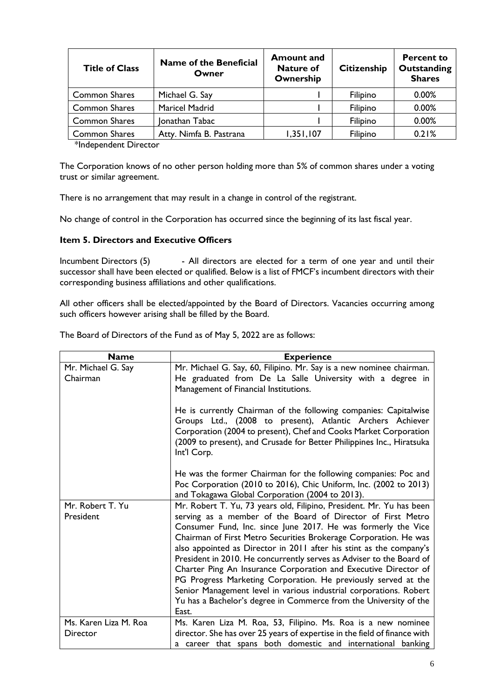| <b>Title of Class</b> | <b>Name of the Beneficial</b><br>Owner | <b>Amount and</b><br><b>Nature of</b><br>Ownership | <b>Citizenship</b> | <b>Percent to</b><br>Outstanding<br><b>Shares</b> |
|-----------------------|----------------------------------------|----------------------------------------------------|--------------------|---------------------------------------------------|
| <b>Common Shares</b>  | Michael G. Say                         |                                                    | Filipino           | 0.00%                                             |
| <b>Common Shares</b>  | <b>Maricel Madrid</b>                  |                                                    | Filipino           | 0.00%                                             |
| <b>Common Shares</b>  | Jonathan Tabac                         |                                                    | Filipino           | 0.00%                                             |
| <b>Common Shares</b>  | Atty. Nimfa B. Pastrana                | 1,351,107                                          | Filipino           | 0.21%                                             |

\*Independent Director

The Corporation knows of no other person holding more than 5% of common shares under a voting trust or similar agreement.

There is no arrangement that may result in a change in control of the registrant.

No change of control in the Corporation has occurred since the beginning of its last fiscal year.

# **Item 5. Directors and Executive Officers**

Incumbent Directors (5) - All directors are elected for a term of one year and until their successor shall have been elected or qualified. Below is a list of FMCF's incumbent directors with their corresponding business affiliations and other qualifications.

All other officers shall be elected/appointed by the Board of Directors. Vacancies occurring among such officers however arising shall be filled by the Board.

|  |  |  |  |  | The Board of Directors of the Fund as of May 5, 2022 are as follows: |
|--|--|--|--|--|----------------------------------------------------------------------|
|  |  |  |  |  |                                                                      |

| <b>Name</b>                       | <b>Experience</b>                                                                                                                                                                                                                                                                                                                                                                                                                                                                                                                                                                                                                                                                                                |
|-----------------------------------|------------------------------------------------------------------------------------------------------------------------------------------------------------------------------------------------------------------------------------------------------------------------------------------------------------------------------------------------------------------------------------------------------------------------------------------------------------------------------------------------------------------------------------------------------------------------------------------------------------------------------------------------------------------------------------------------------------------|
| Mr. Michael G. Say                | Mr. Michael G. Say, 60, Filipino. Mr. Say is a new nominee chairman.                                                                                                                                                                                                                                                                                                                                                                                                                                                                                                                                                                                                                                             |
| Chairman                          | He graduated from De La Salle University with a degree in<br>Management of Financial Institutions.                                                                                                                                                                                                                                                                                                                                                                                                                                                                                                                                                                                                               |
|                                   | He is currently Chairman of the following companies: Capitalwise<br>Groups Ltd., (2008 to present), Atlantic Archers Achiever<br>Corporation (2004 to present), Chef and Cooks Market Corporation<br>(2009 to present), and Crusade for Better Philippines Inc., Hiratsuka<br>Int'l Corp.                                                                                                                                                                                                                                                                                                                                                                                                                        |
|                                   | He was the former Chairman for the following companies: Poc and<br>Poc Corporation (2010 to 2016), Chic Uniform, Inc. (2002 to 2013)<br>and Tokagawa Global Corporation (2004 to 2013).                                                                                                                                                                                                                                                                                                                                                                                                                                                                                                                          |
| Mr. Robert T. Yu<br>President     | Mr. Robert T. Yu, 73 years old, Filipino, President. Mr. Yu has been<br>serving as a member of the Board of Director of First Metro<br>Consumer Fund, Inc. since June 2017. He was formerly the Vice<br>Chairman of First Metro Securities Brokerage Corporation. He was<br>also appointed as Director in 2011 after his stint as the company's<br>President in 2010. He concurrently serves as Adviser to the Board of<br>Charter Ping An Insurance Corporation and Executive Director of<br>PG Progress Marketing Corporation. He previously served at the<br>Senior Management level in various industrial corporations. Robert<br>Yu has a Bachelor's degree in Commerce from the University of the<br>East. |
| Ms. Karen Liza M. Roa<br>Director | Ms. Karen Liza M. Roa, 53, Filipino. Ms. Roa is a new nominee<br>director. She has over 25 years of expertise in the field of finance with                                                                                                                                                                                                                                                                                                                                                                                                                                                                                                                                                                       |
|                                   | a career that spans both domestic and international banking                                                                                                                                                                                                                                                                                                                                                                                                                                                                                                                                                                                                                                                      |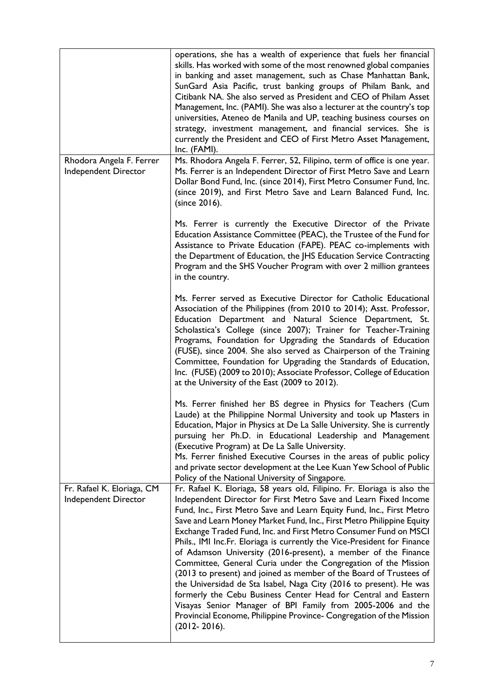|                                                    | operations, she has a wealth of experience that fuels her financial<br>skills. Has worked with some of the most renowned global companies<br>in banking and asset management, such as Chase Manhattan Bank,<br>SunGard Asia Pacific, trust banking groups of Philam Bank, and<br>Citibank NA. She also served as President and CEO of Philam Asset<br>Management, Inc. (PAMI). She was also a lecturer at the country's top<br>universities, Ateneo de Manila and UP, teaching business courses on<br>strategy, investment management, and financial services. She is<br>currently the President and CEO of First Metro Asset Management,<br>Inc. (FAMI).                                                                                                                                                                                                                                                                                                  |
|----------------------------------------------------|------------------------------------------------------------------------------------------------------------------------------------------------------------------------------------------------------------------------------------------------------------------------------------------------------------------------------------------------------------------------------------------------------------------------------------------------------------------------------------------------------------------------------------------------------------------------------------------------------------------------------------------------------------------------------------------------------------------------------------------------------------------------------------------------------------------------------------------------------------------------------------------------------------------------------------------------------------|
| Rhodora Angela F. Ferrer<br>Independent Director   | Ms. Rhodora Angela F. Ferrer, 52, Filipino, term of office is one year.<br>Ms. Ferrer is an Independent Director of First Metro Save and Learn<br>Dollar Bond Fund, Inc. (since 2014), First Metro Consumer Fund, Inc.<br>(since 2019), and First Metro Save and Learn Balanced Fund, Inc.<br>(since 2016).                                                                                                                                                                                                                                                                                                                                                                                                                                                                                                                                                                                                                                                |
|                                                    | Ms. Ferrer is currently the Executive Director of the Private<br>Education Assistance Committee (PEAC), the Trustee of the Fund for<br>Assistance to Private Education (FAPE). PEAC co-implements with<br>the Department of Education, the JHS Education Service Contracting<br>Program and the SHS Voucher Program with over 2 million grantees<br>in the country.                                                                                                                                                                                                                                                                                                                                                                                                                                                                                                                                                                                        |
|                                                    | Ms. Ferrer served as Executive Director for Catholic Educational<br>Association of the Philippines (from 2010 to 2014); Asst. Professor,<br>Education Department and Natural Science Department, St.<br>Scholastica's College (since 2007); Trainer for Teacher-Training<br>Programs, Foundation for Upgrading the Standards of Education<br>(FUSE), since 2004. She also served as Chairperson of the Training<br>Committee, Foundation for Upgrading the Standards of Education,<br>Inc. (FUSE) (2009 to 2010); Associate Professor, College of Education<br>at the University of the East (2009 to 2012).                                                                                                                                                                                                                                                                                                                                               |
|                                                    | Ms. Ferrer finished her BS degree in Physics for Teachers (Cum<br>Laude) at the Philippine Normal University and took up Masters in<br>Education, Major in Physics at De La Salle University. She is currently<br>pursuing her Ph.D. in Educational Leadership and Management<br>(Executive Program) at De La Salle University.<br>Ms. Ferrer finished Executive Courses in the areas of public policy<br>and private sector development at the Lee Kuan Yew School of Public<br>Policy of the National University of Singapore.                                                                                                                                                                                                                                                                                                                                                                                                                           |
| Fr. Rafael K. Eloriaga, CM<br>Independent Director | Fr. Rafael K. Eloriaga, 58 years old, Filipino. Fr. Eloriaga is also the<br>Independent Director for First Metro Save and Learn Fixed Income<br>Fund, Inc., First Metro Save and Learn Equity Fund, Inc., First Metro<br>Save and Learn Money Market Fund, Inc., First Metro Philippine Equity<br>Exchange Traded Fund, Inc. and First Metro Consumer Fund on MSCI<br>Phils., IMI Inc.Fr. Eloriaga is currently the Vice-President for Finance<br>of Adamson University (2016-present), a member of the Finance<br>Committee, General Curia under the Congregation of the Mission<br>(2013 to present) and joined as member of the Board of Trustees of<br>the Universidad de Sta Isabel, Naga City (2016 to present). He was<br>formerly the Cebu Business Center Head for Central and Eastern<br>Visayas Senior Manager of BPI Family from 2005-2006 and the<br>Provincial Econome, Philippine Province- Congregation of the Mission<br>$(2012 - 2016).$ |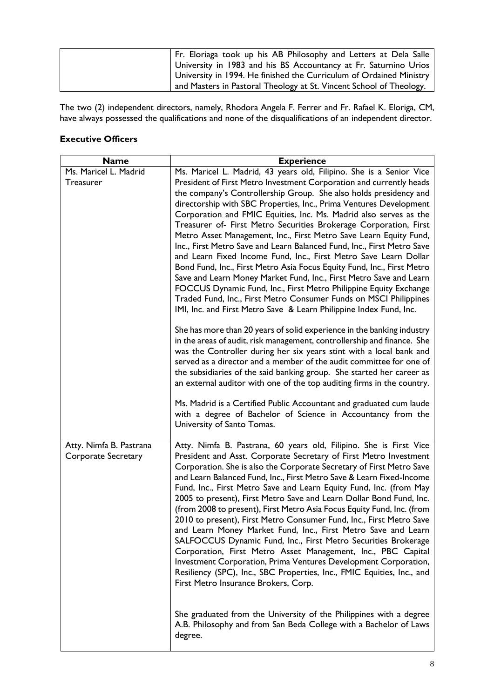| Fr. Eloriaga took up his AB Philosophy and Letters at Dela Salle    |
|---------------------------------------------------------------------|
| University in 1983 and his BS Accountancy at Fr. Saturnino Urios    |
| University in 1994. He finished the Curriculum of Ordained Ministry |
| and Masters in Pastoral Theology at St. Vincent School of Theology. |

The two (2) independent directors, namely, Rhodora Angela F. Ferrer and Fr. Rafael K. Eloriga, CM, have always possessed the qualifications and none of the disqualifications of an independent director.

# **Executive Officers**

| <b>Name</b>                                           | <b>Experience</b>                                                                                                                                                                                                                                                                                                                                                                                                                                                                                                                                                                                                                                                                                                                                                                                                                                                                                                                                                             |  |  |  |
|-------------------------------------------------------|-------------------------------------------------------------------------------------------------------------------------------------------------------------------------------------------------------------------------------------------------------------------------------------------------------------------------------------------------------------------------------------------------------------------------------------------------------------------------------------------------------------------------------------------------------------------------------------------------------------------------------------------------------------------------------------------------------------------------------------------------------------------------------------------------------------------------------------------------------------------------------------------------------------------------------------------------------------------------------|--|--|--|
| Ms. Maricel L. Madrid                                 | Ms. Maricel L. Madrid, 43 years old, Filipino. She is a Senior Vice                                                                                                                                                                                                                                                                                                                                                                                                                                                                                                                                                                                                                                                                                                                                                                                                                                                                                                           |  |  |  |
| <b>Treasurer</b>                                      | President of First Metro Investment Corporation and currently heads                                                                                                                                                                                                                                                                                                                                                                                                                                                                                                                                                                                                                                                                                                                                                                                                                                                                                                           |  |  |  |
|                                                       | the company's Controllership Group. She also holds presidency and                                                                                                                                                                                                                                                                                                                                                                                                                                                                                                                                                                                                                                                                                                                                                                                                                                                                                                             |  |  |  |
|                                                       | directorship with SBC Properties, Inc., Prima Ventures Development                                                                                                                                                                                                                                                                                                                                                                                                                                                                                                                                                                                                                                                                                                                                                                                                                                                                                                            |  |  |  |
|                                                       | Corporation and FMIC Equities, Inc. Ms. Madrid also serves as the                                                                                                                                                                                                                                                                                                                                                                                                                                                                                                                                                                                                                                                                                                                                                                                                                                                                                                             |  |  |  |
|                                                       | Treasurer of- First Metro Securities Brokerage Corporation, First                                                                                                                                                                                                                                                                                                                                                                                                                                                                                                                                                                                                                                                                                                                                                                                                                                                                                                             |  |  |  |
|                                                       | Metro Asset Management, Inc., First Metro Save Learn Equity Fund,                                                                                                                                                                                                                                                                                                                                                                                                                                                                                                                                                                                                                                                                                                                                                                                                                                                                                                             |  |  |  |
|                                                       | Inc., First Metro Save and Learn Balanced Fund, Inc., First Metro Save<br>and Learn Fixed Income Fund, Inc., First Metro Save Learn Dollar                                                                                                                                                                                                                                                                                                                                                                                                                                                                                                                                                                                                                                                                                                                                                                                                                                    |  |  |  |
|                                                       | Bond Fund, Inc., First Metro Asia Focus Equity Fund, Inc., First Metro                                                                                                                                                                                                                                                                                                                                                                                                                                                                                                                                                                                                                                                                                                                                                                                                                                                                                                        |  |  |  |
|                                                       | Save and Learn Money Market Fund, Inc., First Metro Save and Learn                                                                                                                                                                                                                                                                                                                                                                                                                                                                                                                                                                                                                                                                                                                                                                                                                                                                                                            |  |  |  |
|                                                       | FOCCUS Dynamic Fund, Inc., First Metro Philippine Equity Exchange                                                                                                                                                                                                                                                                                                                                                                                                                                                                                                                                                                                                                                                                                                                                                                                                                                                                                                             |  |  |  |
|                                                       | Traded Fund, Inc., First Metro Consumer Funds on MSCI Philippines                                                                                                                                                                                                                                                                                                                                                                                                                                                                                                                                                                                                                                                                                                                                                                                                                                                                                                             |  |  |  |
|                                                       | IMI, Inc. and First Metro Save & Learn Philippine Index Fund, Inc.                                                                                                                                                                                                                                                                                                                                                                                                                                                                                                                                                                                                                                                                                                                                                                                                                                                                                                            |  |  |  |
|                                                       | She has more than 20 years of solid experience in the banking industry<br>in the areas of audit, risk management, controllership and finance. She                                                                                                                                                                                                                                                                                                                                                                                                                                                                                                                                                                                                                                                                                                                                                                                                                             |  |  |  |
|                                                       | was the Controller during her six years stint with a local bank and                                                                                                                                                                                                                                                                                                                                                                                                                                                                                                                                                                                                                                                                                                                                                                                                                                                                                                           |  |  |  |
|                                                       | served as a director and a member of the audit committee for one of                                                                                                                                                                                                                                                                                                                                                                                                                                                                                                                                                                                                                                                                                                                                                                                                                                                                                                           |  |  |  |
|                                                       | the subsidiaries of the said banking group. She started her career as                                                                                                                                                                                                                                                                                                                                                                                                                                                                                                                                                                                                                                                                                                                                                                                                                                                                                                         |  |  |  |
|                                                       | an external auditor with one of the top auditing firms in the country.                                                                                                                                                                                                                                                                                                                                                                                                                                                                                                                                                                                                                                                                                                                                                                                                                                                                                                        |  |  |  |
|                                                       | Ms. Madrid is a Certified Public Accountant and graduated cum laude<br>with a degree of Bachelor of Science in Accountancy from the<br>University of Santo Tomas.                                                                                                                                                                                                                                                                                                                                                                                                                                                                                                                                                                                                                                                                                                                                                                                                             |  |  |  |
|                                                       |                                                                                                                                                                                                                                                                                                                                                                                                                                                                                                                                                                                                                                                                                                                                                                                                                                                                                                                                                                               |  |  |  |
| Atty. Nimfa B. Pastrana<br><b>Corporate Secretary</b> | Atty. Nimfa B. Pastrana, 60 years old, Filipino. She is First Vice<br>President and Asst. Corporate Secretary of First Metro Investment<br>Corporation. She is also the Corporate Secretary of First Metro Save<br>and Learn Balanced Fund, Inc., First Metro Save & Learn Fixed-Income<br>Fund, Inc., First Metro Save and Learn Equity Fund, Inc. (from May<br>2005 to present), First Metro Save and Learn Dollar Bond Fund, Inc.<br>(from 2008 to present), First Metro Asia Focus Equity Fund, Inc. (from<br>2010 to present), First Metro Consumer Fund, Inc., First Metro Save<br>and Learn Money Market Fund, Inc., First Metro Save and Learn<br>SALFOCCUS Dynamic Fund, Inc., First Metro Securities Brokerage<br>Corporation, First Metro Asset Management, Inc., PBC Capital<br>Investment Corporation, Prima Ventures Development Corporation,<br>Resiliency (SPC), Inc., SBC Properties, Inc., FMIC Equities, Inc., and<br>First Metro Insurance Brokers, Corp. |  |  |  |
|                                                       | She graduated from the University of the Philippines with a degree<br>A.B. Philosophy and from San Beda College with a Bachelor of Laws<br>degree.                                                                                                                                                                                                                                                                                                                                                                                                                                                                                                                                                                                                                                                                                                                                                                                                                            |  |  |  |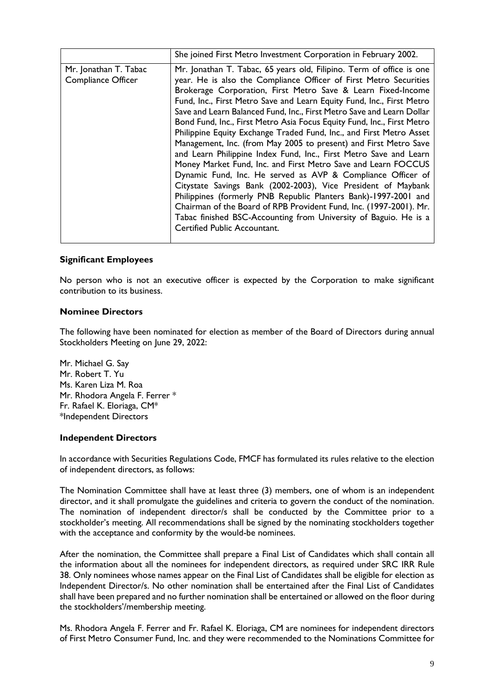|                                             | She joined First Metro Investment Corporation in February 2002.                                                                                                                                                                                                                                                                                                                                                                                                                                                                                                                                                                                                                                                                                                                                                                                                                                                                                                                                                                                                                                     |
|---------------------------------------------|-----------------------------------------------------------------------------------------------------------------------------------------------------------------------------------------------------------------------------------------------------------------------------------------------------------------------------------------------------------------------------------------------------------------------------------------------------------------------------------------------------------------------------------------------------------------------------------------------------------------------------------------------------------------------------------------------------------------------------------------------------------------------------------------------------------------------------------------------------------------------------------------------------------------------------------------------------------------------------------------------------------------------------------------------------------------------------------------------------|
| Mr. Jonathan T. Tabac<br>Compliance Officer | Mr. Jonathan T. Tabac, 65 years old, Filipino. Term of office is one<br>year. He is also the Compliance Officer of First Metro Securities<br>Brokerage Corporation, First Metro Save & Learn Fixed-Income<br>Fund, Inc., First Metro Save and Learn Equity Fund, Inc., First Metro<br>Save and Learn Balanced Fund, Inc., First Metro Save and Learn Dollar<br>Bond Fund, Inc., First Metro Asia Focus Equity Fund, Inc., First Metro<br>Philippine Equity Exchange Traded Fund, Inc., and First Metro Asset<br>Management, Inc. (from May 2005 to present) and First Metro Save<br>and Learn Philippine Index Fund, Inc., First Metro Save and Learn<br>Money Market Fund, Inc. and First Metro Save and Learn FOCCUS<br>Dynamic Fund, Inc. He served as AVP & Compliance Officer of<br>Citystate Savings Bank (2002-2003), Vice President of Maybank<br>Philippines (formerly PNB Republic Planters Bank)-1997-2001 and<br>Chairman of the Board of RPB Provident Fund, Inc. (1997-2001). Mr.<br>Tabac finished BSC-Accounting from University of Baguio. He is a<br>Certified Public Accountant. |

# **Significant Employees**

No person who is not an executive officer is expected by the Corporation to make significant contribution to its business.

#### **Nominee Directors**

The following have been nominated for election as member of the Board of Directors during annual Stockholders Meeting on June 29, 2022:

Mr. Michael G. Say Mr. Robert T. Yu Ms. Karen Liza M. Roa Mr. Rhodora Angela F. Ferrer \* Fr. Rafael K. Eloriaga, CM\* \*Independent Directors

#### **Independent Directors**

In accordance with Securities Regulations Code, FMCF has formulated its rules relative to the election of independent directors, as follows:

The Nomination Committee shall have at least three (3) members, one of whom is an independent director, and it shall promulgate the guidelines and criteria to govern the conduct of the nomination. The nomination of independent director/s shall be conducted by the Committee prior to a stockholder's meeting. All recommendations shall be signed by the nominating stockholders together with the acceptance and conformity by the would-be nominees.

After the nomination, the Committee shall prepare a Final List of Candidates which shall contain all the information about all the nominees for independent directors, as required under SRC IRR Rule 38. Only nominees whose names appear on the Final List of Candidates shall be eligible for election as Independent Director/s. No other nomination shall be entertained after the Final List of Candidates shall have been prepared and no further nomination shall be entertained or allowed on the floor during the stockholders'/membership meeting.

Ms. Rhodora Angela F. Ferrer and Fr. Rafael K. Eloriaga, CM are nominees for independent directors of First Metro Consumer Fund, Inc. and they were recommended to the Nominations Committee for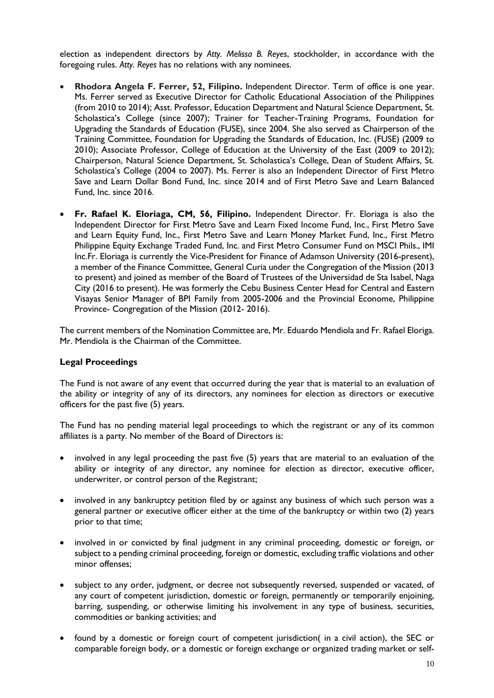election as independent directors by *Atty. Melissa B. Reyes*, stockholder, in accordance with the foregoing rules. *Atty. Reyes* has no relations with any nominees.

- **Rhodora Angela F. Ferrer, 52, Filipino.** Independent Director. Term of office is one year. Ms. Ferrer served as Executive Director for Catholic Educational Association of the Philippines (from 2010 to 2014); Asst. Professor, Education Department and Natural Science Department, St. Scholastica's College (since 2007); Trainer for Teacher-Training Programs, Foundation for Upgrading the Standards of Education (FUSE), since 2004. She also served as Chairperson of the Training Committee, Foundation for Upgrading the Standards of Education, Inc. (FUSE) (2009 to 2010); Associate Professor, College of Education at the University of the East (2009 to 2012); Chairperson, Natural Science Department, St. Scholastica's College, Dean of Student Affairs, St. Scholastica's College (2004 to 2007). Ms. Ferrer is also an Independent Director of First Metro Save and Learn Dollar Bond Fund, Inc. since 2014 and of First Metro Save and Learn Balanced Fund, Inc. since 2016.
- **Fr. Rafael K. Eloriaga, CM, 56, Filipino.** Independent Director. Fr. Eloriaga is also the Independent Director for First Metro Save and Learn Fixed Income Fund, Inc., First Metro Save and Learn Equity Fund, Inc., First Metro Save and Learn Money Market Fund, Inc., First Metro Philippine Equity Exchange Traded Fund, Inc. and First Metro Consumer Fund on MSCI Phils., IMI Inc.Fr. Eloriaga is currently the Vice-President for Finance of Adamson University (2016-present), a member of the Finance Committee, General Curia under the Congregation of the Mission (2013 to present) and joined as member of the Board of Trustees of the Universidad de Sta Isabel, Naga City (2016 to present). He was formerly the Cebu Business Center Head for Central and Eastern Visayas Senior Manager of BPI Family from 2005-2006 and the Provincial Econome, Philippine Province- Congregation of the Mission (2012- 2016).

The current members of the Nomination Committee are, Mr. Eduardo Mendiola and Fr. Rafael Eloriga. Mr. Mendiola is the Chairman of the Committee.

#### **Legal Proceedings**

The Fund is not aware of any event that occurred during the year that is material to an evaluation of the ability or integrity of any of its directors, any nominees for election as directors or executive officers for the past five (5) years.

The Fund has no pending material legal proceedings to which the registrant or any of its common affiliates is a party. No member of the Board of Directors is:

- involved in any legal proceeding the past five (5) years that are material to an evaluation of the ability or integrity of any director, any nominee for election as director, executive officer, underwriter, or control person of the Registrant;
- involved in any bankruptcy petition filed by or against any business of which such person was a general partner or executive officer either at the time of the bankruptcy or within two (2) years prior to that time;
- involved in or convicted by final judgment in any criminal proceeding, domestic or foreign, or subject to a pending criminal proceeding, foreign or domestic, excluding traffic violations and other minor offenses;
- subject to any order, judgment, or decree not subsequently reversed, suspended or vacated, of any court of competent jurisdiction, domestic or foreign, permanently or temporarily enjoining, barring, suspending, or otherwise limiting his involvement in any type of business, securities, commodities or banking activities; and
- found by a domestic or foreign court of competent jurisdiction( in a civil action), the SEC or comparable foreign body, or a domestic or foreign exchange or organized trading market or self-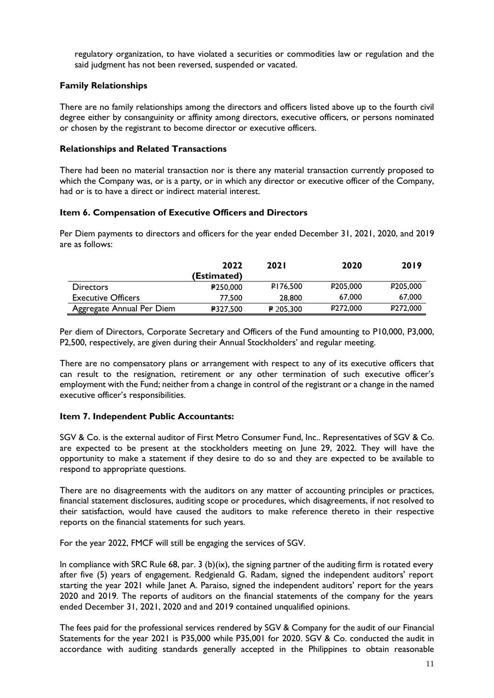regulatory organization, to have violated a securities or commodities law or regulation and the said judgment has not been reversed, suspended or vacated.

### **Family Relationships**

There are no family relationships among the directors and officers listed above up to the fourth civil degree either by consanguinity or affinity among directors, executive officers, or persons nominated or chosen by the registrant to become director or executive officers.

#### **Relationships and Related Transactions**

There had been no material transaction nor is there any material transaction currently proposed to which the Company was, or is a party, or in which any director or executive officer of the Company, had or is to have a direct or indirect material interest.

### **Item 6. Compensation of Executive Officers and Directors**

Per Diem payments to directors and officers for the year ended December 31, 2021, 2020, and 2019 are as follows:

|                           | 2022            | <b>2021</b> | 2020                  | 2019                 |
|---------------------------|-----------------|-------------|-----------------------|----------------------|
|                           | (Estimated)     |             |                       |                      |
| <b>Directors</b>          | <b>₽250.000</b> | P176,500    | P <sub>205</sub> ,000 | P205.000             |
| <b>Executive Officers</b> | 77,500          | 28,800      | 67,000                | 67,000               |
| Aggregate Annual Per Diem | ₽327,500        | $P$ 205,300 | P272,000              | P <sub>272,000</sub> |

Per diem of Directors, Corporate Secretary and Officers of the Fund amounting to P10,000, P3,000, P2,500, respectively, are given during their Annual Stockholders' and regular meeting.

There are no compensatory plans or arrangement with respect to any of its executive officers that can result to the resignation, retirement or any other termination of such executive officer's employment with the Fund; neither from a change in control of the registrant or a change in the named executive officer's responsibilities.

# **Item 7. Independent Public Accountants:**

SGV & Co. is the external auditor of First Metro Consumer Fund, Inc.. Representatives of SGV & Co. are expected to be present at the stockholders meeting on June 29, 2022. They will have the opportunity to make a statement if they desire to do so and they are expected to be available to respond to appropriate questions.

There are no disagreements with the auditors on any matter of accounting principles or practices, financial statement disclosures, auditing scope or procedures, which disagreements, if not resolved to their satisfaction, would have caused the auditors to make reference thereto in their respective reports on the financial statements for such years.

For the year 2022, FMCF will still be engaging the services of SGV.

In compliance with SRC Rule 68, par. 3 (b)(ix), the signing partner of the auditing firm is rotated every after five (5) years of engagement. Redgienald G. Radam, signed the independent auditors' report starting the year 2021 while Janet A. Paraiso, signed the independent auditors' report for the years 2020 and 2019. The reports of auditors on the financial statements of the company for the years ended December 31, 2021, 2020 and and 2019 contained unqualified opinions.

The fees paid for the professional services rendered by SGV & Company for the audit of our Financial Statements for the year 2021 is P35,000 while P35,001 for 2020. SGV & Co. conducted the audit in accordance with auditing standards generally accepted in the Philippines to obtain reasonable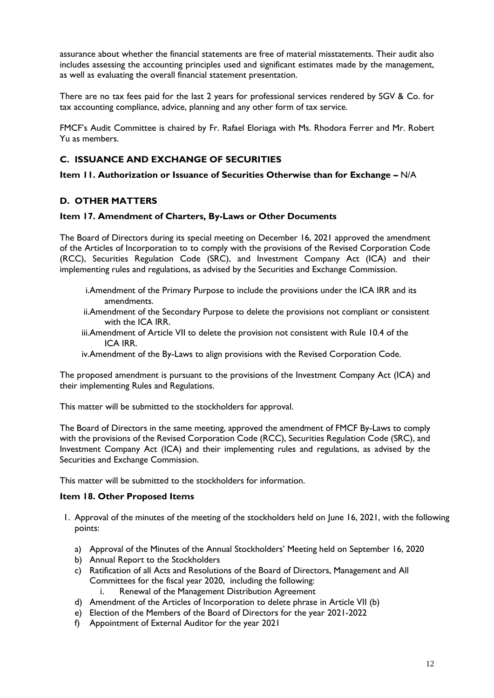assurance about whether the financial statements are free of material misstatements. Their audit also includes assessing the accounting principles used and significant estimates made by the management, as well as evaluating the overall financial statement presentation.

There are no tax fees paid for the last 2 years for professional services rendered by SGV & Co. for tax accounting compliance, advice, planning and any other form of tax service.

FMCF's Audit Committee is chaired by Fr. Rafael Eloriaga with Ms. Rhodora Ferrer and Mr. Robert Yu as members.

# **C. ISSUANCE AND EXCHANGE OF SECURITIES**

**Item 11. Authorization or Issuance of Securities Otherwise than for Exchange –** N/A

# **D. OTHER MATTERS**

### **Item 17. Amendment of Charters, By-Laws or Other Documents**

The Board of Directors during its special meeting on December 16, 2021 approved the amendment of the Articles of Incorporation to to comply with the provisions of the Revised Corporation Code (RCC), Securities Regulation Code (SRC), and Investment Company Act (ICA) and their implementing rules and regulations, as advised by the Securities and Exchange Commission.

- i.Amendment of the Primary Purpose to include the provisions under the ICA IRR and its amendments.
- ii.Amendment of the Secondary Purpose to delete the provisions not compliant or consistent with the ICA IRR.
- iii.Amendment of Article VII to delete the provision not consistent with Rule 10.4 of the ICA IRR.
- iv.Amendment of the By-Laws to align provisions with the Revised Corporation Code.

The proposed amendment is pursuant to the provisions of the Investment Company Act (ICA) and their implementing Rules and Regulations.

This matter will be submitted to the stockholders for approval.

The Board of Directors in the same meeting, approved the amendment of FMCF By-Laws to comply with the provisions of the Revised Corporation Code (RCC), Securities Regulation Code (SRC), and Investment Company Act (ICA) and their implementing rules and regulations, as advised by the Securities and Exchange Commission.

This matter will be submitted to the stockholders for information.

#### **Item 18. Other Proposed Items**

- 1. Approval of the minutes of the meeting of the stockholders held on June 16, 2021, with the following points:
	- a) Approval of the Minutes of the Annual Stockholders' Meeting held on September 16, 2020
	- b) Annual Report to the Stockholders
	- c) Ratification of all Acts and Resolutions of the Board of Directors, Management and All Committees for the fiscal year 2020, including the following:
		- i. Renewal of the Management Distribution Agreement
	- d) Amendment of the Articles of Incorporation to delete phrase in Article VII (b)
	- e) Election of the Members of the Board of Directors for the year 2021-2022
	- f) Appointment of External Auditor for the year 2021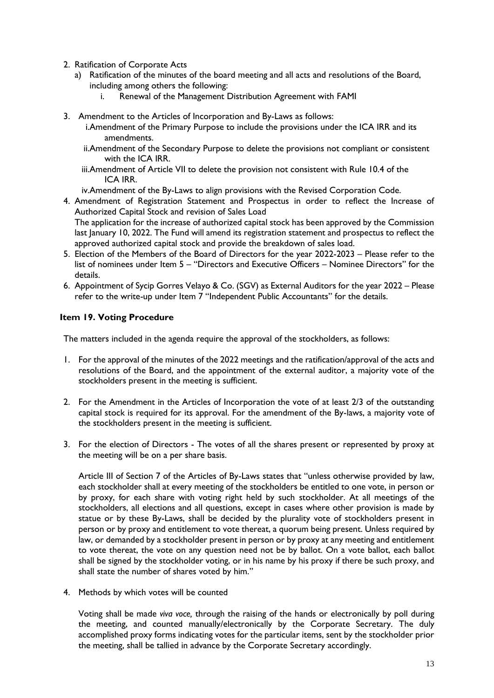- 2. Ratification of Corporate Acts
	- a) Ratification of the minutes of the board meeting and all acts and resolutions of the Board, including among others the following:
		- i. Renewal of the Management Distribution Agreement with FAMI
- 3. Amendment to the Articles of Incorporation and By-Laws as follows:
	- i.Amendment of the Primary Purpose to include the provisions under the ICA IRR and its amendments.
	- ii.Amendment of the Secondary Purpose to delete the provisions not compliant or consistent with the ICA IRR.
	- iii.Amendment of Article VII to delete the provision not consistent with Rule 10.4 of the ICA IRR.
	- iv.Amendment of the By-Laws to align provisions with the Revised Corporation Code.
- 4. Amendment of Registration Statement and Prospectus in order to reflect the Increase of Authorized Capital Stock and revision of Sales Load The application for the increase of authorized capital stock has been approved by the Commission last January 10, 2022. The Fund will amend its registration statement and prospectus to reflect the
	- approved authorized capital stock and provide the breakdown of sales load.
- 5. Election of the Members of the Board of Directors for the year 2022-2023 Please refer to the list of nominees under Item 5 – "Directors and Executive Officers – Nominee Directors" for the details.
- 6. Appointment of Sycip Gorres Velayo & Co. (SGV) as External Auditors for the year 2022 Please refer to the write-up under Item 7 "Independent Public Accountants" for the details.

### **Item 19. Voting Procedure**

The matters included in the agenda require the approval of the stockholders, as follows:

- 1. For the approval of the minutes of the 2022 meetings and the ratification/approval of the acts and resolutions of the Board, and the appointment of the external auditor, a majority vote of the stockholders present in the meeting is sufficient.
- 2. For the Amendment in the Articles of Incorporation the vote of at least 2/3 of the outstanding capital stock is required for its approval. For the amendment of the By-laws, a majority vote of the stockholders present in the meeting is sufficient.
- 3. For the election of Directors The votes of all the shares present or represented by proxy at the meeting will be on a per share basis.

Article III of Section 7 of the Articles of By-Laws states that "unless otherwise provided by law, each stockholder shall at every meeting of the stockholders be entitled to one vote, in person or by proxy, for each share with voting right held by such stockholder. At all meetings of the stockholders, all elections and all questions, except in cases where other provision is made by statue or by these By-Laws, shall be decided by the plurality vote of stockholders present in person or by proxy and entitlement to vote thereat, a quorum being present. Unless required by law, or demanded by a stockholder present in person or by proxy at any meeting and entitlement to vote thereat, the vote on any question need not be by ballot. On a vote ballot, each ballot shall be signed by the stockholder voting, or in his name by his proxy if there be such proxy, and shall state the number of shares voted by him."

4. Methods by which votes will be counted

Voting shall be made *viva voce,* through the raising of the hands or electronically by poll during the meeting, and counted manually/electronically by the Corporate Secretary. The duly accomplished proxy forms indicating votes for the particular items, sent by the stockholder prior the meeting, shall be tallied in advance by the Corporate Secretary accordingly.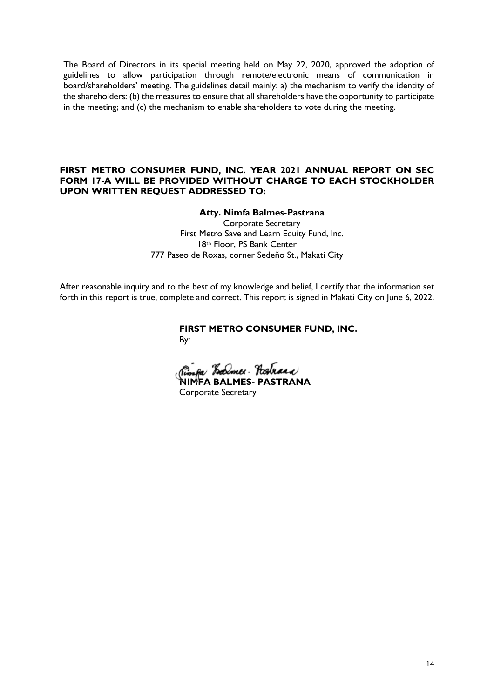The Board of Directors in its special meeting held on May 22, 2020, approved the adoption of guidelines to allow participation through remote/electronic means of communication in board/shareholders' meeting. The guidelines detail mainly: a) the mechanism to verify the identity of the shareholders: (b) the measures to ensure that all shareholders have the opportunity to participate in the meeting; and (c) the mechanism to enable shareholders to vote during the meeting.

### **FIRST METRO CONSUMER FUND, INC. YEAR 2021 ANNUAL REPORT ON SEC FORM 17-A WILL BE PROVIDED WITHOUT CHARGE TO EACH STOCKHOLDER UPON WRITTEN REQUEST ADDRESSED TO:**

#### **Atty. Nimfa Balmes-Pastrana**

Corporate Secretary First Metro Save and Learn Equity Fund, Inc. 18th Floor, PS Bank Center 777 Paseo de Roxas, corner Sedeño St., Makati City

After reasonable inquiry and to the best of my knowledge and belief, I certify that the information set forth in this report is true, complete and correct. This report is signed in Makati City on June 6, 2022.

> **FIRST METRO CONSUMER FUND, INC.** By:

Rimfa Lalmer Rostrana **NIMFA BALMES- PASTRANA** 

Corporate Secretary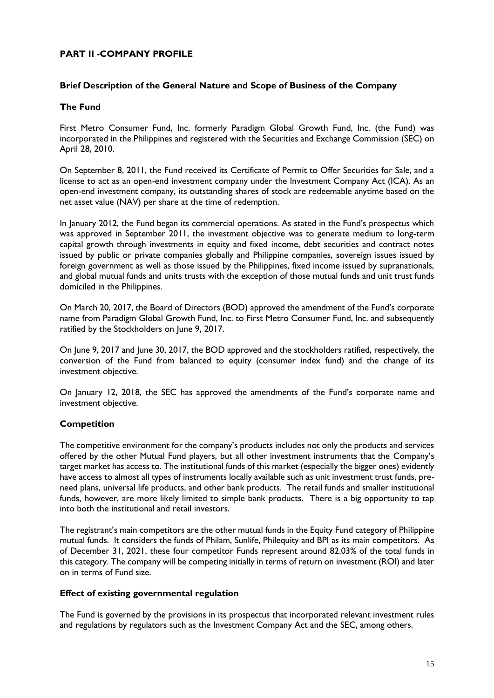# **PART II -COMPANY PROFILE**

### **Brief Description of the General Nature and Scope of Business of the Company**

#### **The Fund**

First Metro Consumer Fund, Inc. formerly Paradigm Global Growth Fund, Inc. (the Fund) was incorporated in the Philippines and registered with the Securities and Exchange Commission (SEC) on April 28, 2010.

On September 8, 2011, the Fund received its Certificate of Permit to Offer Securities for Sale, and a license to act as an open-end investment company under the Investment Company Act (ICA). As an open-end investment company, its outstanding shares of stock are redeemable anytime based on the net asset value (NAV) per share at the time of redemption.

In January 2012, the Fund began its commercial operations. As stated in the Fund's prospectus which was approved in September 2011, the investment objective was to generate medium to long-term capital growth through investments in equity and fixed income, debt securities and contract notes issued by public or private companies globally and Philippine companies, sovereign issues issued by foreign government as well as those issued by the Philippines, fixed income issued by supranationals, and global mutual funds and units trusts with the exception of those mutual funds and unit trust funds domiciled in the Philippines.

On March 20, 2017, the Board of Directors (BOD) approved the amendment of the Fund's corporate name from Paradigm Global Growth Fund, Inc. to First Metro Consumer Fund, Inc. and subsequently ratified by the Stockholders on June 9, 2017.

On June 9, 2017 and June 30, 2017, the BOD approved and the stockholders ratified, respectively, the conversion of the Fund from balanced to equity (consumer index fund) and the change of its investment objective.

On January 12, 2018, the SEC has approved the amendments of the Fund's corporate name and investment objective.

# **Competition**

The competitive environment for the company's products includes not only the products and services offered by the other Mutual Fund players, but all other investment instruments that the Company's target market has access to. The institutional funds of this market (especially the bigger ones) evidently have access to almost all types of instruments locally available such as unit investment trust funds, preneed plans, universal life products, and other bank products. The retail funds and smaller institutional funds, however, are more likely limited to simple bank products. There is a big opportunity to tap into both the institutional and retail investors.

The registrant's main competitors are the other mutual funds in the Equity Fund category of Philippine mutual funds. It considers the funds of Philam, Sunlife, Philequity and BPI as its main competitors. As of December 31, 2021, these four competitor Funds represent around 82.03% of the total funds in this category. The company will be competing initially in terms of return on investment (ROI) and later on in terms of Fund size.

### **Effect of existing governmental regulation**

The Fund is governed by the provisions in its prospectus that incorporated relevant investment rules and regulations by regulators such as the Investment Company Act and the SEC, among others.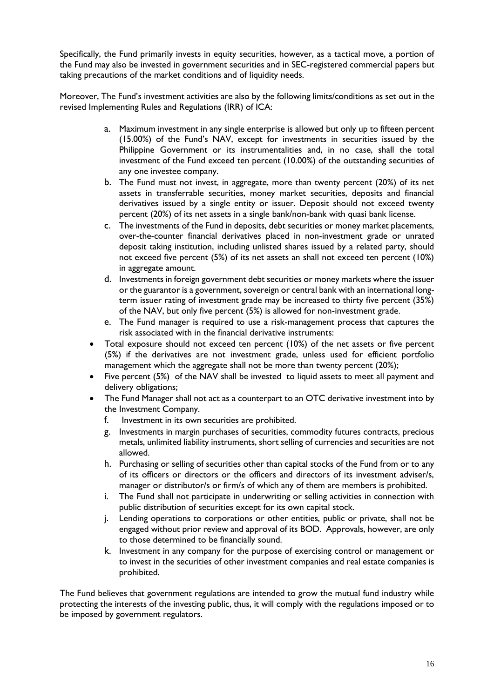Specifically, the Fund primarily invests in equity securities, however, as a tactical move, a portion of the Fund may also be invested in government securities and in SEC-registered commercial papers but taking precautions of the market conditions and of liquidity needs.

Moreover, The Fund's investment activities are also by the following limits/conditions as set out in the revised Implementing Rules and Regulations (IRR) of ICA:

- a. Maximum investment in any single enterprise is allowed but only up to fifteen percent (15.00%) of the Fund's NAV, except for investments in securities issued by the Philippine Government or its instrumentalities and, in no case, shall the total investment of the Fund exceed ten percent (10.00%) of the outstanding securities of any one investee company.
- b. The Fund must not invest, in aggregate, more than twenty percent (20%) of its net assets in transferrable securities, money market securities, deposits and financial derivatives issued by a single entity or issuer. Deposit should not exceed twenty percent (20%) of its net assets in a single bank/non-bank with quasi bank license.
- c. The investments of the Fund in deposits, debt securities or money market placements, over-the-counter financial derivatives placed in non-investment grade or unrated deposit taking institution, including unlisted shares issued by a related party, should not exceed five percent (5%) of its net assets an shall not exceed ten percent (10%) in aggregate amount.
- d. Investments in foreign government debt securities or money markets where the issuer or the guarantor is a government, sovereign or central bank with an international longterm issuer rating of investment grade may be increased to thirty five percent (35%) of the NAV, but only five percent (5%) is allowed for non-investment grade.
- e. The Fund manager is required to use a risk-management process that captures the risk associated with in the financial derivative instruments:
- Total exposure should not exceed ten percent (10%) of the net assets or five percent (5%) if the derivatives are not investment grade, unless used for efficient portfolio management which the aggregate shall not be more than twenty percent (20%);
- Five percent (5%) of the NAV shall be invested to liquid assets to meet all payment and delivery obligations;
- The Fund Manager shall not act as a counterpart to an OTC derivative investment into by the Investment Company.
	- f. Investment in its own securities are prohibited.
	- g. Investments in margin purchases of securities, commodity futures contracts, precious metals, unlimited liability instruments, short selling of currencies and securities are not allowed.
	- h. Purchasing or selling of securities other than capital stocks of the Fund from or to any of its officers or directors or the officers and directors of its investment adviser/s, manager or distributor/s or firm/s of which any of them are members is prohibited.
	- i. The Fund shall not participate in underwriting or selling activities in connection with public distribution of securities except for its own capital stock.
	- j. Lending operations to corporations or other entities, public or private, shall not be engaged without prior review and approval of its BOD. Approvals, however, are only to those determined to be financially sound.
	- k. Investment in any company for the purpose of exercising control or management or to invest in the securities of other investment companies and real estate companies is prohibited.

The Fund believes that government regulations are intended to grow the mutual fund industry while protecting the interests of the investing public, thus, it will comply with the regulations imposed or to be imposed by government regulators.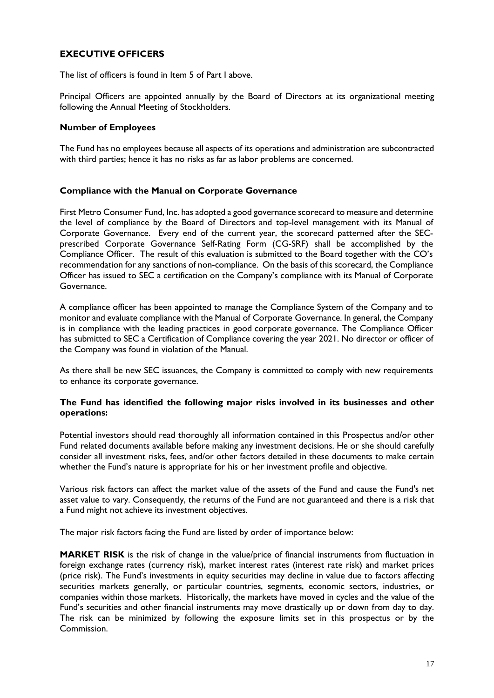# **EXECUTIVE OFFICERS**

The list of officers is found in Item 5 of Part I above.

Principal Officers are appointed annually by the Board of Directors at its organizational meeting following the Annual Meeting of Stockholders.

#### **Number of Employees**

The Fund has no employees because all aspects of its operations and administration are subcontracted with third parties; hence it has no risks as far as labor problems are concerned.

#### **Compliance with the Manual on Corporate Governance**

First Metro Consumer Fund, Inc. has adopted a good governance scorecard to measure and determine the level of compliance by the Board of Directors and top-level management with its Manual of Corporate Governance. Every end of the current year, the scorecard patterned after the SECprescribed Corporate Governance Self-Rating Form (CG-SRF) shall be accomplished by the Compliance Officer. The result of this evaluation is submitted to the Board together with the CO's recommendation for any sanctions of non-compliance. On the basis of this scorecard, the Compliance Officer has issued to SEC a certification on the Company's compliance with its Manual of Corporate Governance.

A compliance officer has been appointed to manage the Compliance System of the Company and to monitor and evaluate compliance with the Manual of Corporate Governance. In general, the Company is in compliance with the leading practices in good corporate governance. The Compliance Officer has submitted to SEC a Certification of Compliance covering the year 2021. No director or officer of the Company was found in violation of the Manual.

As there shall be new SEC issuances, the Company is committed to comply with new requirements to enhance its corporate governance.

#### **The Fund has identified the following major risks involved in its businesses and other operations:**

Potential investors should read thoroughly all information contained in this Prospectus and/or other Fund related documents available before making any investment decisions. He or she should carefully consider all investment risks, fees, and/or other factors detailed in these documents to make certain whether the Fund's nature is appropriate for his or her investment profile and objective.

Various risk factors can affect the market value of the assets of the Fund and cause the Fund's net asset value to vary. Consequently, the returns of the Fund are not guaranteed and there is a risk that a Fund might not achieve its investment objectives.

The major risk factors facing the Fund are listed by order of importance below:

**MARKET RISK** is the risk of change in the value/price of financial instruments from fluctuation in foreign exchange rates (currency risk), market interest rates (interest rate risk) and market prices (price risk). The Fund's investments in equity securities may decline in value due to factors affecting securities markets generally, or particular countries, segments, economic sectors, industries, or companies within those markets. Historically, the markets have moved in cycles and the value of the Fund's securities and other financial instruments may move drastically up or down from day to day. The risk can be minimized by following the exposure limits set in this prospectus or by the Commission.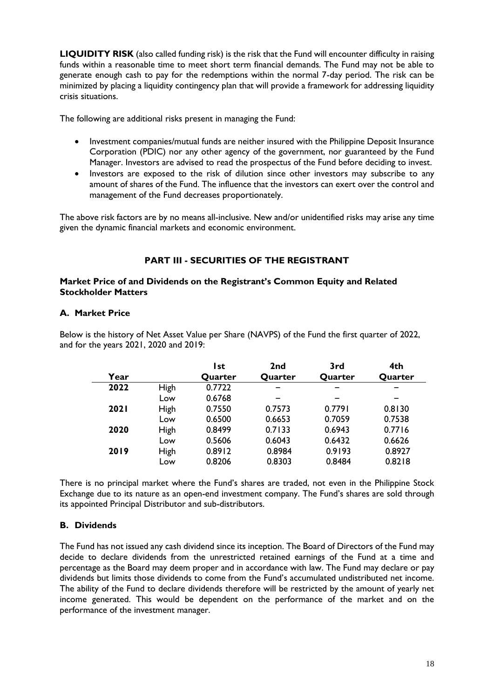**LIQUIDITY RISK** (also called funding risk) is the risk that the Fund will encounter difficulty in raising funds within a reasonable time to meet short term financial demands. The Fund may not be able to generate enough cash to pay for the redemptions within the normal 7-day period. The risk can be minimized by placing a liquidity contingency plan that will provide a framework for addressing liquidity crisis situations.

The following are additional risks present in managing the Fund:

- Investment companies/mutual funds are neither insured with the Philippine Deposit Insurance Corporation (PDIC) nor any other agency of the government, nor guaranteed by the Fund Manager. Investors are advised to read the prospectus of the Fund before deciding to invest.
- Investors are exposed to the risk of dilution since other investors may subscribe to any amount of shares of the Fund. The influence that the investors can exert over the control and management of the Fund decreases proportionately.

The above risk factors are by no means all-inclusive. New and/or unidentified risks may arise any time given the dynamic financial markets and economic environment.

# **PART III - SECURITIES OF THE REGISTRANT**

### **Market Price of and Dividends on the Registrant's Common Equity and Related Stockholder Matters**

# **A. Market Price**

Below is the history of Net Asset Value per Share (NAVPS) of the Fund the first quarter of 2022, and for the years 2021, 2020 and 2019:

|             |             | l st    | 2 <sub>nd</sub> | 3rd     | 4th     |
|-------------|-------------|---------|-----------------|---------|---------|
| Year        |             | Quarter | Quarter         | Quarter | Quarter |
| 2022        | <b>High</b> | 0.7722  |                 |         |         |
|             | Low         | 0.6768  |                 |         |         |
| <b>2021</b> | <b>High</b> | 0.7550  | 0.7573          | 0.7791  | 0.8130  |
|             | Low         | 0.6500  | 0.6653          | 0.7059  | 0.7538  |
| 2020        | <b>High</b> | 0.8499  | 0.7133          | 0.6943  | 0.7716  |
|             | Low         | 0.5606  | 0.6043          | 0.6432  | 0.6626  |
| 2019        | High        | 0.8912  | 0.8984          | 0.9193  | 0.8927  |
|             | Low         | 0.8206  | 0.8303          | 0.8484  | 0.8218  |

There is no principal market where the Fund's shares are traded, not even in the Philippine Stock Exchange due to its nature as an open-end investment company. The Fund's shares are sold through its appointed Principal Distributor and sub-distributors.

# **B. Dividends**

The Fund has not issued any cash dividend since its inception. The Board of Directors of the Fund may decide to declare dividends from the unrestricted retained earnings of the Fund at a time and percentage as the Board may deem proper and in accordance with law. The Fund may declare or pay dividends but limits those dividends to come from the Fund's accumulated undistributed net income. The ability of the Fund to declare dividends therefore will be restricted by the amount of yearly net income generated. This would be dependent on the performance of the market and on the performance of the investment manager.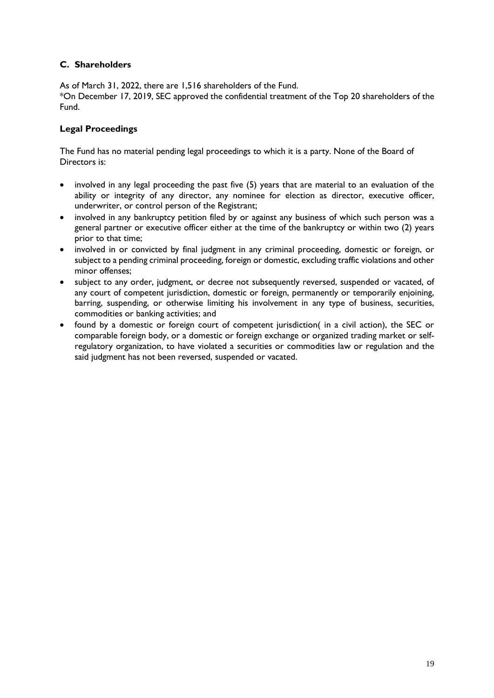# **C. Shareholders**

As of March 31, 2022, there are 1,516 shareholders of the Fund.

\*On December 17, 2019, SEC approved the confidential treatment of the Top 20 shareholders of the Fund.

# **Legal Proceedings**

The Fund has no material pending legal proceedings to which it is a party. None of the Board of Directors is:

- involved in any legal proceeding the past five (5) years that are material to an evaluation of the ability or integrity of any director, any nominee for election as director, executive officer, underwriter, or control person of the Registrant;
- involved in any bankruptcy petition filed by or against any business of which such person was a general partner or executive officer either at the time of the bankruptcy or within two (2) years prior to that time;
- involved in or convicted by final judgment in any criminal proceeding, domestic or foreign, or subject to a pending criminal proceeding, foreign or domestic, excluding traffic violations and other minor offenses;
- subject to any order, judgment, or decree not subsequently reversed, suspended or vacated, of any court of competent jurisdiction, domestic or foreign, permanently or temporarily enjoining, barring, suspending, or otherwise limiting his involvement in any type of business, securities, commodities or banking activities; and
- found by a domestic or foreign court of competent jurisdiction( in a civil action), the SEC or comparable foreign body, or a domestic or foreign exchange or organized trading market or selfregulatory organization, to have violated a securities or commodities law or regulation and the said judgment has not been reversed, suspended or vacated.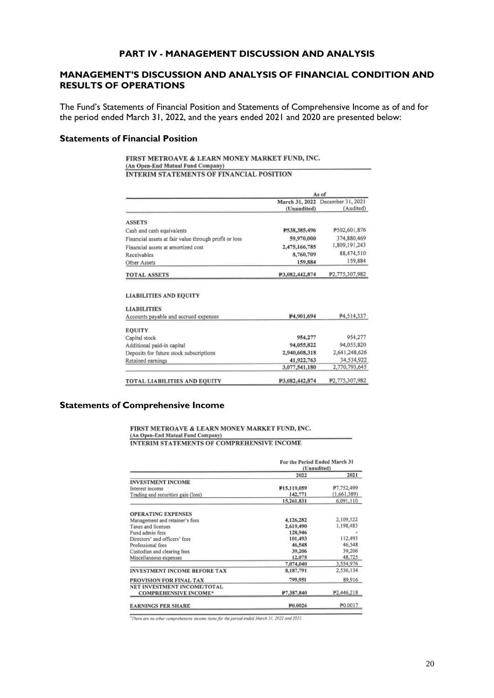#### **PART IV - MANAGEMENT DISCUSSION AND ANALYSIS**

#### **MANAGEMENT'S DISCUSSION AND ANALYSIS OF FINANCIAL CONDITION AND RESULTS OF OPERATIONS**

The Fund's Statements of Financial Position and Statements of Comprehensive Income as of and for the period ended March 31, 2022, and the years ended 2021 and 2020 are presented below:

#### **Statements of Financial Position**

FIRST METROAVE & LEARN MONEY MARKET FUND, INC. (An Open-End Mutual Fund Company) **INTERIM STATEMENTS OF FINANCIAL POSITION** 

|                                                                                                                              | As of                       |                                  |  |
|------------------------------------------------------------------------------------------------------------------------------|-----------------------------|----------------------------------|--|
|                                                                                                                              |                             | March 31, 2022 December 31, 2021 |  |
|                                                                                                                              | (Unaudited)                 | (Audited)                        |  |
| <b>ASSETS</b>                                                                                                                |                             |                                  |  |
| Cash and cash equivalents                                                                                                    | P538,385,496                | P502,601,876                     |  |
| Financial assets at fair value through profit or loss                                                                        | 59,970,000                  | 374,880,469                      |  |
| Financial assets at amortized cost                                                                                           | 2,475,166,785               | 1,809,191,243                    |  |
| Receivables                                                                                                                  | 8,760,709                   | 88,474,510                       |  |
| Other Assets                                                                                                                 | 159.884                     | 159,884                          |  |
| <b>TOTAL ASSETS</b>                                                                                                          | P3,082,442,874              | P2,775,307,982                   |  |
| <b>LIABILITIES AND EQUITY</b>                                                                                                |                             |                                  |  |
|                                                                                                                              |                             |                                  |  |
| <b>LIABILITIES</b><br>Accounts payable and accrued expenses                                                                  | P4.901,694                  | P4,514,337                       |  |
|                                                                                                                              |                             |                                  |  |
|                                                                                                                              |                             |                                  |  |
|                                                                                                                              | 954,277                     | 954,277<br>94,055,820            |  |
|                                                                                                                              | 94,055,822<br>2,940,608,318 |                                  |  |
|                                                                                                                              | 41,922,763                  | 2,641,248,626<br>34,534,922      |  |
| <b>EQUITY</b><br>Capital stock<br>Additional paid-in capital<br>Deposits for future stock subscriptions<br>Retained earnings | 3,077,541,180               | 2,770,793,645                    |  |

#### **Statements of Comprehensive Income**

FIRST METROAVE & LEARN MONEY MARKET FUND, INC. (An Open-End Mutual Fund Company)

**INTERIM STATEMENTS OF COMPREHENSIVE INCOME** 

|                                     | For the Period Ended March 31<br>(Unaudited) |                         |
|-------------------------------------|----------------------------------------------|-------------------------|
|                                     | 2022                                         | 2021                    |
| <b>INVESTMENT INCOME</b>            |                                              |                         |
| Interest income                     | P15,119,059                                  | P7.752,499              |
| Trading and securities gain (loss)  | 142,771                                      | (1,661,389)             |
|                                     | 15,261,831                                   | 6.091.110               |
| <b>OPERATING EXPENSES</b>           |                                              |                         |
| Management and retainer's fees      | 4.126,282                                    | 2,109,522               |
| Taxes and licenses                  | 2,619,490                                    | 1,198,483               |
| Fund admin fess                     | 128,946                                      |                         |
| Directors' and officers' fees       | 101,493                                      | 112,493                 |
| Professional fees                   | 46,548                                       | 46,548                  |
| Custodian and clearing fees         | 39,206                                       | 39,206                  |
| Miscellaneous expenses              | 12,075                                       | 48,725                  |
|                                     | 7,074,040                                    | 3,554,976               |
| <b>INVESTMENT INCOME BEFORE TAX</b> | 8.187.791                                    | 2,536,134               |
| PROVISION FOR FINAL TAX             | 799,951                                      | 89.916                  |
| NET INVESTMENT INCOME/TOTAL         |                                              |                         |
| <b>COMPREHENSIVE INCOME*</b>        | P7.387.840                                   | P <sub>2</sub> ,446,218 |
| <b>EARNINGS PER SHARE</b>           | P <sub>0.0026</sub>                          | P0.0017                 |

<sup>1</sup>There are no other comprehensive income items for the period ended March 31, 2022 and 2021,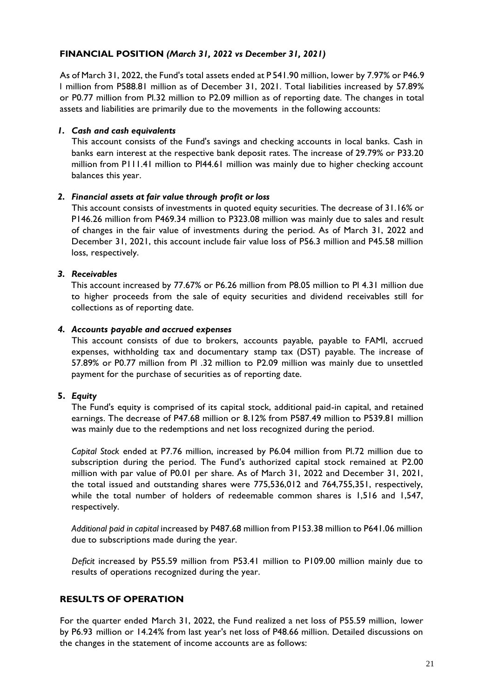# **FINANCIAL POSITION** *(March 31, 2022 vs December 31, 2021)*

As of March 31, 2022, the Fund's total assets ended at P 541.90 million, lower by 7.97% or P46.9 l million from P588.81 million as of December 31, 2021. Total liabilities increased by 57.89% or P0.77 million from Pl.32 million to P2.09 million as of reporting date. The changes in total assets and liabilities are primarily due to the movements in the following accounts:

# *1. Cash and cash equivalents*

This account consists of the Fund's savings and checking accounts in local banks. Cash in banks earn interest at the respective bank deposit rates. The increase of 29.79% or P33.20 million from P111.41 million to Pl44.61 million was mainly due to higher checking account balances this year.

### *2. Financial assets at fair value through profit or loss*

This account consists of investments in quoted equity securities. The decrease of 31.16% or P146.26 million from P469.34 million to P323.08 million was mainly due to sales and result of changes in the fair value of investments during the period. As of March 31, 2022 and December 31, 2021, this account include fair value loss of P56.3 million and P45.58 million loss, respectively.

### *3. Receivables*

This account increased by 77.67% or P6.26 million from P8.05 million to Pl 4.31 million due to higher proceeds from the sale of equity securities and dividend receivables still for collections as of reporting date.

### *4. Accounts payable and accrued expenses*

This account consists of due to brokers, accounts payable, payable to FAMI, accrued expenses, withholding tax and documentary stamp tax (DST) payable. The increase of 57.89% or P0.77 million from Pl .32 million to P2.09 million was mainly due to unsettled payment for the purchase of securities as of reporting date.

# **5.** *Equity*

The Fund's equity is comprised of its capital stock, additional paid-in capital, and retained earnings. The decrease of P47.68 million or 8.12% from P587.49 million to P539.81 million was mainly due to the redemptions and net loss recognized during the period.

*Capital Stock* ended at P7.76 million, increased by P6.04 million from Pl.72 million due to subscription during the period. The Fund's authorized capital stock remained at P2.00 million with par value of P0.01 per share. As of March 31, 2022 and December 31, 2021, the total issued and outstanding shares were 775,536,012 and 764,755,351, respectively, while the total number of holders of redeemable common shares is 1,516 and 1,547, respectively.

*Additional paid in capital* increased by P487.68 million from P153.38 million to P641.06 million due to subscriptions made during the year.

*Deficit* increased by P55.59 million from P53.41 million to P109.00 million mainly due to results of operations recognized during the year.

# **RESULTS OF OPERATION**

For the quarter ended March 31, 2022, the Fund realized a net loss of P55.59 million, lower by P6.93 million or 14.24% from last year's net loss of P48.66 million. Detailed discussions on the changes in the statement of income accounts are as follows: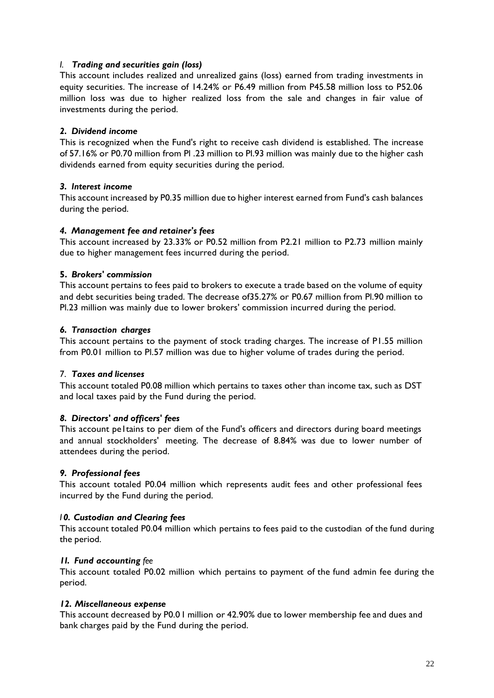### *I. Trading and securities gain (loss)*

This account includes realized and unrealized gains (loss) earned from trading investments in equity securities. The increase of 14.24% or P6.49 million from P45.58 million loss to P52.06 million loss was due to higher realized loss from the sale and changes in fair value of investments during the period.

### *2. Dividend income*

This is recognized when the Fund's right to receive cash dividend is established. The increase of 57.16% or P0.70 million from Pl .23 million to Pl.93 million was mainly due to the higher cash dividends earned from equity securities during the period.

### *3. Interest income*

This account increased by P0.35 million due to higher interest earned from Fund's cash balances during the period.

### *4. Management fee and retainer's fees*

This account increased by 23.33% or P0.52 million from P2.21 million to P2.73 million mainly due to higher management fees incurred during the period.

### **5.** *Brokers' commission*

This account pertains to fees paid to brokers to execute a trade based on the volume of equity and debt securities being traded. The decrease of35.27% or P0.67 million from Pl.90 million to Pl.23 million was mainly due to lower brokers' commission incurred during the period.

### *6. Transaction charges*

This account pertains to the payment of stock trading charges. The increase of P1.55 million from P0.01 million to Pl.57 million was due to higher volume of trades during the period.

#### 7. *Taxes and licenses*

This account totaled P0.08 million which pertains to taxes other than income tax, such as DST and local taxes paid by the Fund during the period.

#### *8. Directors' and officers' fees*

This account peltains to per diem of the Fund's officers and directors during board meetings and annual stockholders' meeting. The decrease of 8.84% was due to lower number of attendees during the period.

# *9. Professional fees*

This account totaled P0.04 million which represents audit fees and other professional fees incurred by the Fund during the period.

#### *I 0. Custodian and Clearing fees*

This account totaled P0.04 million which pertains to fees paid to the custodian of the fund during the period.

#### *1I. Fund accounting fee*

This account totaled P0.02 million which pertains to payment of the fund admin fee during the period.

#### *12. Miscellaneous expense*

This account decreased by P0.0 I million or 42.90% due to lower membership fee and dues and bank charges paid by the Fund during the period.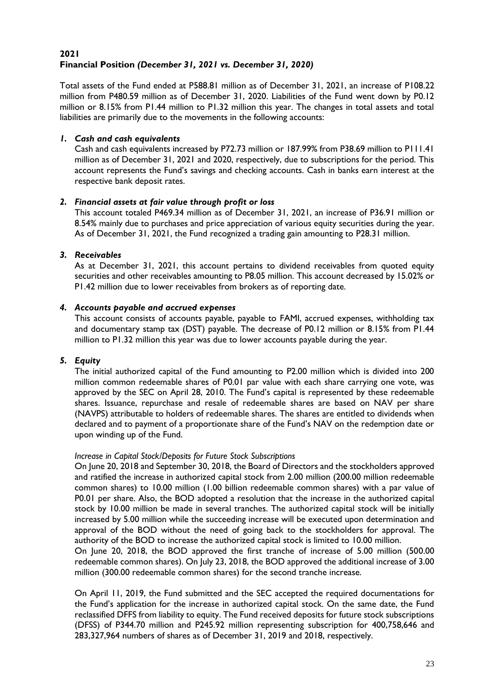# **2021 Financial Position** *(December 31, 2021 vs. December 31, 2020)*

Total assets of the Fund ended at P588.81 million as of December 31, 2021, an increase of P108.22 million from P480.59 million as of December 31, 2020. Liabilities of the Fund went down by P0.12 million or 8.15% from P1.44 million to P1.32 million this year. The changes in total assets and total liabilities are primarily due to the movements in the following accounts:

### *1. Cash and cash equivalents*

Cash and cash equivalents increased by P72.73 million or 187.99% from P38.69 million to P111.41 million as of December 31, 2021 and 2020, respectively, due to subscriptions for the period. This account represents the Fund's savings and checking accounts. Cash in banks earn interest at the respective bank deposit rates.

### *2. Financial assets at fair value through profit or loss*

This account totaled P469.34 million as of December 31, 2021, an increase of P36.91 million or 8.54% mainly due to purchases and price appreciation of various equity securities during the year. As of December 31, 2021, the Fund recognized a trading gain amounting to P28.31 million.

### *3. Receivables*

As at December 31, 2021, this account pertains to dividend receivables from quoted equity securities and other receivables amounting to P8.05 million. This account decreased by 15.02% or P1.42 million due to lower receivables from brokers as of reporting date.

### *4. Accounts payable and accrued expenses*

This account consists of accounts payable, payable to FAMI, accrued expenses, withholding tax and documentary stamp tax (DST) payable. The decrease of P0.12 million or 8.15% from P1.44 million to P1.32 million this year was due to lower accounts payable during the year.

# *5. Equity*

The initial authorized capital of the Fund amounting to P2.00 million which is divided into 200 million common redeemable shares of P0.01 par value with each share carrying one vote, was approved by the SEC on April 28, 2010. The Fund's capital is represented by these redeemable shares. Issuance, repurchase and resale of redeemable shares are based on NAV per share (NAVPS) attributable to holders of redeemable shares. The shares are entitled to dividends when declared and to payment of a proportionate share of the Fund's NAV on the redemption date or upon winding up of the Fund.

#### *Increase in Capital Stock/Deposits for Future Stock Subscriptions*

On June 20, 2018 and September 30, 2018, the Board of Directors and the stockholders approved and ratified the increase in authorized capital stock from 2.00 million (200.00 million redeemable common shares) to 10.00 million (1.00 billion redeemable common shares) with a par value of P0.01 per share. Also, the BOD adopted a resolution that the increase in the authorized capital stock by 10.00 million be made in several tranches. The authorized capital stock will be initially increased by 5.00 million while the succeeding increase will be executed upon determination and approval of the BOD without the need of going back to the stockholders for approval. The authority of the BOD to increase the authorized capital stock is limited to 10.00 million.

On June 20, 2018, the BOD approved the first tranche of increase of 5.00 million (500.00 redeemable common shares). On July 23, 2018, the BOD approved the additional increase of 3.00 million (300.00 redeemable common shares) for the second tranche increase.

On April 11, 2019, the Fund submitted and the SEC accepted the required documentations for the Fund's application for the increase in authorized capital stock. On the same date, the Fund reclassified DFFS from liability to equity. The Fund received deposits for future stock subscriptions (DFSS) of P344.70 million and P245.92 million representing subscription for 400,758,646 and 283,327,964 numbers of shares as of December 31, 2019 and 2018, respectively.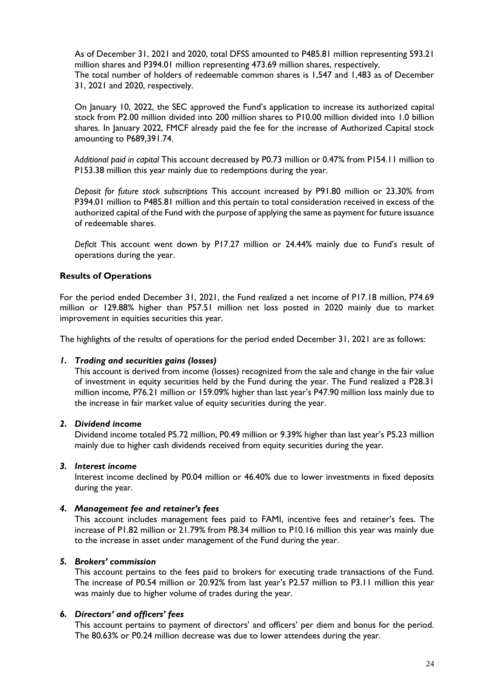As of December 31, 2021 and 2020, total DFSS amounted to P485.81 million representing 593.21 million shares and P394.01 million representing 473.69 million shares, respectively. The total number of holders of redeemable common shares is 1,547 and 1,483 as of December 31, 2021 and 2020, respectively.

On January 10, 2022, the SEC approved the Fund's application to increase its authorized capital stock from P2.00 million divided into 200 million shares to P10.00 million divided into 1.0 billion shares. In January 2022, FMCF already paid the fee for the increase of Authorized Capital stock amounting to P689,391.74.

*Additional paid in capital* This account decreased by P0.73 million or 0.47% from P154.11 million to P153.38 million this year mainly due to redemptions during the year.

*Deposit for future stock subscriptions* This account increased by P91.80 million or 23.30% from P394.01 million to P485.81 million and this pertain to total consideration received in excess of the authorized capital of the Fund with the purpose of applying the same as payment for future issuance of redeemable shares.

*Deficit* This account went down by P17.27 million or 24.44% mainly due to Fund's result of operations during the year.

### **Results of Operations**

For the period ended December 31, 2021, the Fund realized a net income of P17.18 million, P74.69 million or 129.88% higher than P57.51 million net loss posted in 2020 mainly due to market improvement in equities securities this year.

The highlights of the results of operations for the period ended December 31, 2021 are as follows:

#### *1. Trading and securities gains (losses)*

This account is derived from income (losses) recognized from the sale and change in the fair value of investment in equity securities held by the Fund during the year. The Fund realized a P28.31 million income, P76.21 million or 159.09% higher than last year's P47.90 million loss mainly due to the increase in fair market value of equity securities during the year.

### *2. Dividend income*

Dividend income totaled P5.72 million, P0.49 million or 9.39% higher than last year's P5.23 million mainly due to higher cash dividends received from equity securities during the year.

#### *3. Interest income*

Interest income declined by P0.04 million or 46.40% due to lower investments in fixed deposits during the year.

#### *4. Management fee and retainer's fees*

This account includes management fees paid to FAMI, incentive fees and retainer's fees. The increase of P1.82 million or 21.79% from P8.34 million to P10.16 million this year was mainly due to the increase in asset under management of the Fund during the year.

#### *5. Brokers' commission*

This account pertains to the fees paid to brokers for executing trade transactions of the Fund. The increase of P0.54 million or 20.92% from last year's P2.57 million to P3.11 million this year was mainly due to higher volume of trades during the year.

#### *6. Directors' and officers' fees*

This account pertains to payment of directors' and officers' per diem and bonus for the period. The 80.63% or P0.24 million decrease was due to lower attendees during the year.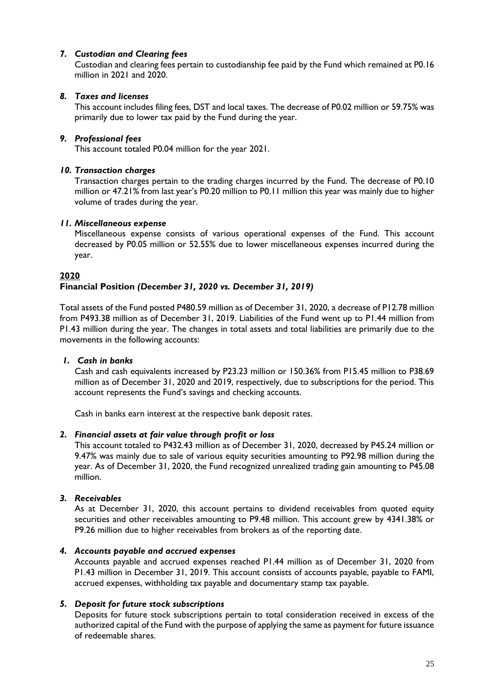# *7. Custodian and Clearing fees*

Custodian and clearing fees pertain to custodianship fee paid by the Fund which remained at P0.16 million in 2021 and 2020.

# *8. Taxes and licenses*

This account includes filing fees, DST and local taxes. The decrease of P0.02 million or 59.75% was primarily due to lower tax paid by the Fund during the year.

# *9. Professional fees*

This account totaled P0.04 million for the year 2021.

### *10. Transaction charges*

Transaction charges pertain to the trading charges incurred by the Fund. The decrease of P0.10 million or 47.21% from last year's P0.20 million to P0.11 million this year was mainly due to higher volume of trades during the year.

### *11. Miscellaneous expense*

Miscellaneous expense consists of various operational expenses of the Fund. This account decreased by P0.05 million or 52.55% due to lower miscellaneous expenses incurred during the year.

### **2020**

# **Financial Position** *(December 31, 2020 vs. December 31, 2019)*

Total assets of the Fund posted P480.59 million as of December 31, 2020, a decrease of P12.78 million from P493.38 million as of December 31, 2019. Liabilities of the Fund went up to P1.44 million from P1.43 million during the year. The changes in total assets and total liabilities are primarily due to the movements in the following accounts:

#### *1. Cash in banks*

Cash and cash equivalents increased by P23.23 million or 150.36% from P15.45 million to P38.69 million as of December 31, 2020 and 2019, respectively, due to subscriptions for the period. This account represents the Fund's savings and checking accounts.

Cash in banks earn interest at the respective bank deposit rates.

#### *2. Financial assets at fair value through profit or loss*

This account totaled to P432.43 million as of December 31, 2020, decreased by P45.24 million or 9.47% was mainly due to sale of various equity securities amounting to P92.98 million during the year. As of December 31, 2020, the Fund recognized unrealized trading gain amounting to P45.08 million.

#### *3. Receivables*

As at December 31, 2020, this account pertains to dividend receivables from quoted equity securities and other receivables amounting to P9.48 million. This account grew by 4341.38% or P9.26 million due to higher receivables from brokers as of the reporting date.

#### *4. Accounts payable and accrued expenses*

Accounts payable and accrued expenses reached P1.44 million as of December 31, 2020 from P1.43 million in December 31, 2019. This account consists of accounts payable, payable to FAMI, accrued expenses, withholding tax payable and documentary stamp tax payable.

# *5. Deposit for future stock subscriptions*

Deposits for future stock subscriptions pertain to total consideration received in excess of the authorized capital of the Fund with the purpose of applying the same as payment for future issuance of redeemable shares.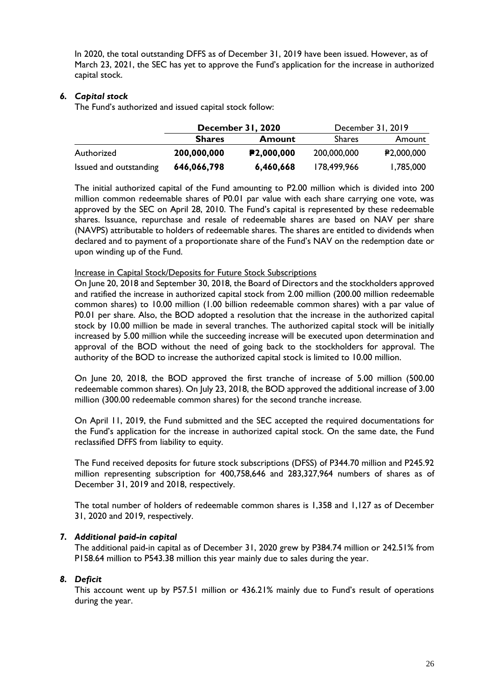In 2020, the total outstanding DFFS as of December 31, 2019 have been issued. However, as of March 23, 2021, the SEC has yet to approve the Fund's application for the increase in authorized capital stock.

### *6. Capital stock*

The Fund's authorized and issued capital stock follow:

|                        | December 31, 2020 |                         | December 31, 2019 |                         |
|------------------------|-------------------|-------------------------|-------------------|-------------------------|
|                        | <b>Shares</b>     | <b>Amount</b>           | <b>Shares</b>     | Amount                  |
| Authorized             | 200,000,000       | P <sub>2</sub> ,000,000 | 200,000,000       | P <sub>2</sub> ,000,000 |
| Issued and outstanding | 646,066,798       | 6,460,668               | 178,499,966       | 1,785,000               |

The initial authorized capital of the Fund amounting to P2.00 million which is divided into 200 million common redeemable shares of P0.01 par value with each share carrying one vote, was approved by the SEC on April 28, 2010. The Fund's capital is represented by these redeemable shares. Issuance, repurchase and resale of redeemable shares are based on NAV per share (NAVPS) attributable to holders of redeemable shares. The shares are entitled to dividends when declared and to payment of a proportionate share of the Fund's NAV on the redemption date or upon winding up of the Fund.

#### Increase in Capital Stock/Deposits for Future Stock Subscriptions

On June 20, 2018 and September 30, 2018, the Board of Directors and the stockholders approved and ratified the increase in authorized capital stock from 2.00 million (200.00 million redeemable common shares) to 10.00 million (1.00 billion redeemable common shares) with a par value of P0.01 per share. Also, the BOD adopted a resolution that the increase in the authorized capital stock by 10.00 million be made in several tranches. The authorized capital stock will be initially increased by 5.00 million while the succeeding increase will be executed upon determination and approval of the BOD without the need of going back to the stockholders for approval. The authority of the BOD to increase the authorized capital stock is limited to 10.00 million.

On June 20, 2018, the BOD approved the first tranche of increase of 5.00 million (500.00 redeemable common shares). On July 23, 2018, the BOD approved the additional increase of 3.00 million (300.00 redeemable common shares) for the second tranche increase.

On April 11, 2019, the Fund submitted and the SEC accepted the required documentations for the Fund's application for the increase in authorized capital stock. On the same date, the Fund reclassified DFFS from liability to equity.

The Fund received deposits for future stock subscriptions (DFSS) of P344.70 million and P245.92 million representing subscription for 400,758,646 and 283,327,964 numbers of shares as of December 31, 2019 and 2018, respectively.

The total number of holders of redeemable common shares is 1,358 and 1,127 as of December 31, 2020 and 2019, respectively.

#### *7. Additional paid-in capital*

The additional paid-in capital as of December 31, 2020 grew by P384.74 million or 242.51% from P158.64 million to P543.38 million this year mainly due to sales during the year.

#### *8. Deficit*

This account went up by P57.51 million or 436.21% mainly due to Fund's result of operations during the year.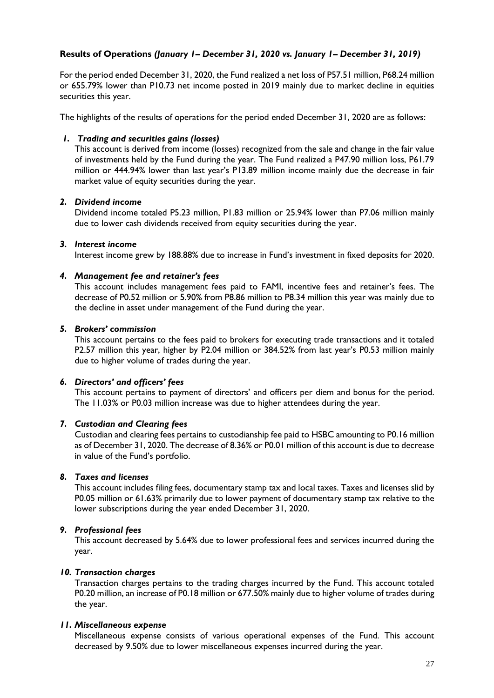# **Results of Operations** *(January 1– December 31, 2020 vs. January 1– December 31, 2019)*

For the period ended December 31, 2020, the Fund realized a net loss of P57.51 million, P68.24 million or 655.79% lower than P10.73 net income posted in 2019 mainly due to market decline in equities securities this year.

The highlights of the results of operations for the period ended December 31, 2020 are as follows:

### *1. Trading and securities gains (losses)*

This account is derived from income (losses) recognized from the sale and change in the fair value of investments held by the Fund during the year. The Fund realized a P47.90 million loss, P61.79 million or 444.94% lower than last year's P13.89 million income mainly due the decrease in fair market value of equity securities during the year.

### *2. Dividend income*

Dividend income totaled P5.23 million, P1.83 million or 25.94% lower than P7.06 million mainly due to lower cash dividends received from equity securities during the year.

### *3. Interest income*

Interest income grew by 188.88% due to increase in Fund's investment in fixed deposits for 2020.

### *4. Management fee and retainer's fees*

This account includes management fees paid to FAMI, incentive fees and retainer's fees. The decrease of P0.52 million or 5.90% from P8.86 million to P8.34 million this year was mainly due to the decline in asset under management of the Fund during the year.

### *5. Brokers' commission*

This account pertains to the fees paid to brokers for executing trade transactions and it totaled P2.57 million this year, higher by P2.04 million or 384.52% from last year's P0.53 million mainly due to higher volume of trades during the year.

#### *6. Directors' and officers' fees*

This account pertains to payment of directors' and officers per diem and bonus for the period. The 11.03% or P0.03 million increase was due to higher attendees during the year.

### *7. Custodian and Clearing fees*

Custodian and clearing fees pertains to custodianship fee paid to HSBC amounting to P0.16 million as of December 31, 2020. The decrease of 8.36% or P0.01 million of this account is due to decrease in value of the Fund's portfolio.

#### *8. Taxes and licenses*

This account includes filing fees, documentary stamp tax and local taxes. Taxes and licenses slid by P0.05 million or 61.63% primarily due to lower payment of documentary stamp tax relative to the lower subscriptions during the year ended December 31, 2020.

# *9. Professional fees*

This account decreased by 5.64% due to lower professional fees and services incurred during the year.

# *10. Transaction charges*

Transaction charges pertains to the trading charges incurred by the Fund. This account totaled P0.20 million, an increase of P0.18 million or 677.50% mainly due to higher volume of trades during the year.

#### *11. Miscellaneous expense*

Miscellaneous expense consists of various operational expenses of the Fund. This account decreased by 9.50% due to lower miscellaneous expenses incurred during the year.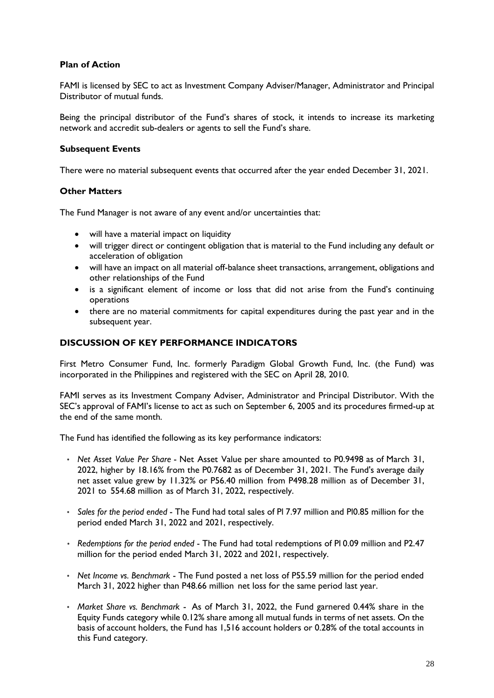# **Plan of Action**

FAMI is licensed by SEC to act as Investment Company Adviser/Manager, Administrator and Principal Distributor of mutual funds.

Being the principal distributor of the Fund's shares of stock, it intends to increase its marketing network and accredit sub-dealers or agents to sell the Fund's share.

#### **Subsequent Events**

There were no material subsequent events that occurred after the year ended December 31, 2021.

### **Other Matters**

The Fund Manager is not aware of any event and/or uncertainties that:

- will have a material impact on liquidity
- will trigger direct or contingent obligation that is material to the Fund including any default or acceleration of obligation
- will have an impact on all material off-balance sheet transactions, arrangement, obligations and other relationships of the Fund
- is a significant element of income or loss that did not arise from the Fund's continuing operations
- there are no material commitments for capital expenditures during the past year and in the subsequent year.

### **DISCUSSION OF KEY PERFORMANCE INDICATORS**

First Metro Consumer Fund, Inc. formerly Paradigm Global Growth Fund, Inc. (the Fund) was incorporated in the Philippines and registered with the SEC on April 28, 2010.

FAMI serves as its Investment Company Adviser, Administrator and Principal Distributor. With the SEC's approval of FAMI's license to act as such on September 6, 2005 and its procedures firmed-up at the end of the same month.

The Fund has identified the following as its key performance indicators:

- *Net Asset Value Per Share*  Net Asset Value per share amounted to P0.9498 as of March 31, 2022, higher by 18.16% from the P0.7682 as of December 31, 2021. The Fund's average daily net asset value grew by 11.32% or P56.40 million from P498.28 million as of December 31, 2021 to 554.68 million as of March 31, 2022, respectively.
- *Sales for the period ended*  The Fund had total sales of Pl 7.97 million and Pl0.85 million for the period ended March 31, 2022 and 2021, respectively.
- *Redemptions for the period ended*  The Fund had total redemptions of Pl 0.09 million and P2.47 million for the period ended March 31, 2022 and 2021, respectively.
- *Net Income vs. Benchmark*  The Fund posted a net loss of P55.59 million for the period ended March 31, 2022 higher than P48.66 million net loss for the same period last year.
- *Market Share vs. Benchmark*  As of March 31, 2022, the Fund garnered 0.44% share in the Equity Funds category while 0.12% share among all mutual funds in terms of net assets. On the basis of account holders, the Fund has 1,516 account holders or 0.28% of the total accounts in this Fund category.